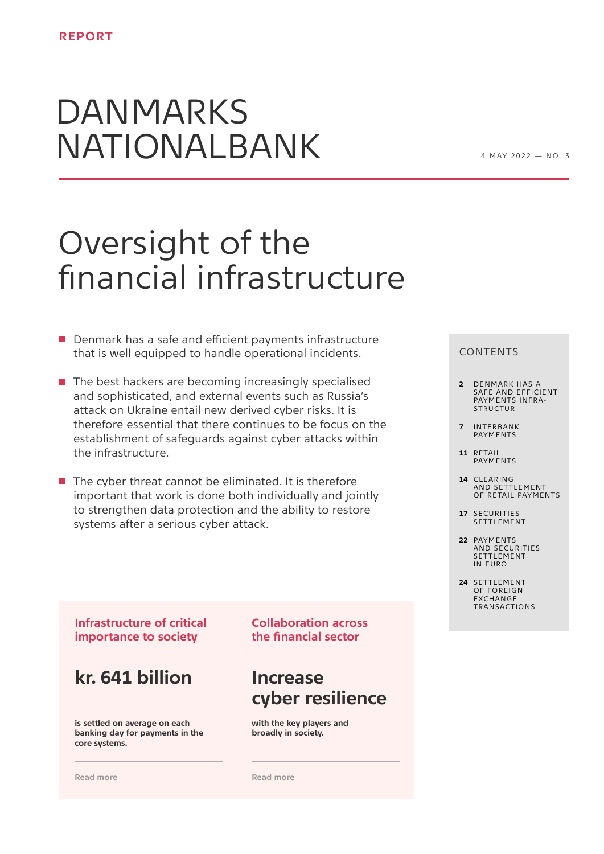# DANMARKS NATIONALBANK

 $4$  M A  $\vee$  2022  $-$  N  $\cap$  3

## Oversight of the financial infrastructure

- Denmark has a safe and efficient payments infrastructure that is well equipped to handle operational incidents.
- $\blacksquare$  The best hackers are becoming increasingly specialised and sophisticated, and external events such as Russia's attack on Ukraine entail new derived cyber risks. It is therefore essential that there continues to be focus on the establishment of safeguards against cyber attacks within the infrastructure.
- $\blacksquare$  The cyber threat cannot be eliminated. It is therefore important that work is done both individually and jointly to strengthen data protection and the ability to restore systems after a serious cyber attack.

#### CONTENTS

- **2** [DENMARK HAS A](#page-1-0)  [SAFE AND EFFICIENT](#page-1-0)  [PAYMENTS INFRA-](#page-1-0)**[STRUCTUR](#page-1-0)**
- **7** [INTERBANK](#page-6-0)  [PAYMENTS](#page-6-0)
- **11** [RETAIL](#page-10-0)  [PAYMENTS](#page-10-0)
- **14** [CLEARING](#page-13-0)  [AND SETTLEMENT](#page-13-0)  [OF RETAIL PAYMENTS](#page-13-0)
- **17** [SECURITIES](#page-16-0)  SETTI FMENT
- **22** [PAYMENTS](#page-21-0)  [AND SECURITIES](#page-21-0)  [SETTLEMENT](#page-21-0)  [IN EURO](#page-21-0)
- **24** [SETTLEMENT](#page-23-0)  [OF FOREIGN](#page-23-0)  **EXCHANGE** [TRANSACTIONS](#page-23-0)

**Infrastructure of critical importance to society** 

**kr. 641 billion** 

**is settled on average on each banking day for payments in the core systems.**

**[Read more](#page-2-0)**

**Collaboration across the financial sector** 

## **Increase cyber resilience**

**with the key players and broadly in society.** 

**[Read more](#page-4-0)**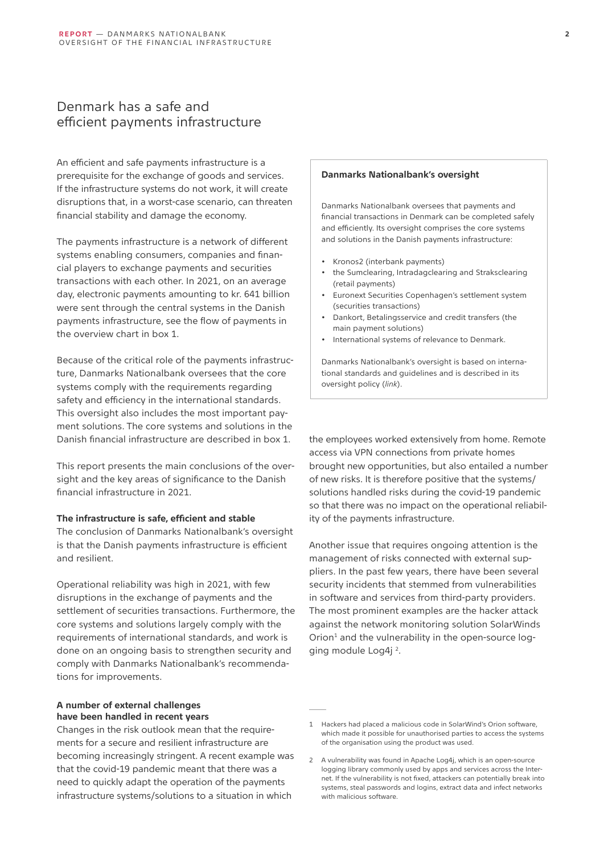## <span id="page-1-0"></span>Denmark has a safe and efficient payments infrastructure

An efficient and safe payments infrastructure is a prerequisite for the exchange of goods and services. If the infrastructure systems do not work, it will create disruptions that, in a worst-case scenario, can threaten financial stability and damage the economy.

The payments infrastructure is a network of different systems enabling consumers, companies and financial players to exchange payments and securities transactions with each other. In 2021, on an average day, electronic payments amounting to kr. 641 billion were sent through the central systems in the Danish payments infrastructure, see the flow of payments in the overview chart in box 1.

Because of the critical role of the payments infrastructure, Danmarks Nationalbank oversees that the core systems comply with the requirements regarding safety and efficiency in the international standards. This oversight also includes the most important payment solutions. The core systems and solutions in the Danish financial infrastructure are described in box 1.

This report presents the main conclusions of the oversight and the key areas of significance to the Danish financial infrastructure in 2021.

#### **The infrastructure is safe, efficient and stable**

The conclusion of Danmarks Nationalbank's oversight is that the Danish payments infrastructure is efficient and resilient.

Operational reliability was high in 2021, with few disruptions in the exchange of payments and the settlement of securities transactions. Furthermore, the core systems and solutions largely comply with the requirements of international standards, and work is done on an ongoing basis to strengthen security and comply with Danmarks Nationalbank's recommendations for improvements.

#### **A number of external challenges have been handled in recent years**

Changes in the risk outlook mean that the requirements for a secure and resilient infrastructure are becoming increasingly stringent. A recent example was that the covid-19 pandemic meant that there was a need to quickly adapt the operation of the payments infrastructure systems/solutions to a situation in which

#### **Danmarks Nationalbank's oversight**

Danmarks Nationalbank oversees that payments and financial transactions in Denmark can be completed safely and efficiently. Its oversight comprises the core systems and solutions in the Danish payments infrastructure:

- Kronos2 (interbank payments)
- the Sumclearing, Intradagclearing and Straksclearing (retail payments)
- Euronext Securities Copenhagen's settlement system (securities transactions)
- Dankort, Betalingsservice and credit transfers (the main payment solutions)
- International systems of relevance to Denmark.

Danmarks Nationalbank's oversight is based on international standards and guidelines and is described in its oversight policy (*[link](http://www.nationalbanken.dk/da/publikationer/alle/Sider/default.aspx?type=18a7895b-f78c-4b5f-8dce-469d1486958f&date=FilterAll)*).

the employees worked extensively from home. Remote access via VPN connections from private homes brought new opportunities, but also entailed a number of new risks. It is therefore positive that the systems/ solutions handled risks during the covid-19 pandemic so that there was no impact on the operational reliability of the payments infrastructure.

Another issue that requires ongoing attention is the management of risks connected with external suppliers. In the past few years, there have been several security incidents that stemmed from vulnerabilities in software and services from third-party providers. The most prominent examples are the hacker attack against the network monitoring solution SolarWinds Orion<sup>1</sup> and the vulnerability in the open-source logging module Log4j 2.

<sup>1</sup> Hackers had placed a malicious code in SolarWind's Orion software, which made it possible for unauthorised parties to access the systems of the organisation using the product was used.

<sup>2</sup> A vulnerability was found in Apache Log4j, which is an open-source logging library commonly used by apps and services across the Internet. If the vulnerability is not fixed, attackers can potentially break into systems, steal passwords and logins, extract data and infect networks with malicious software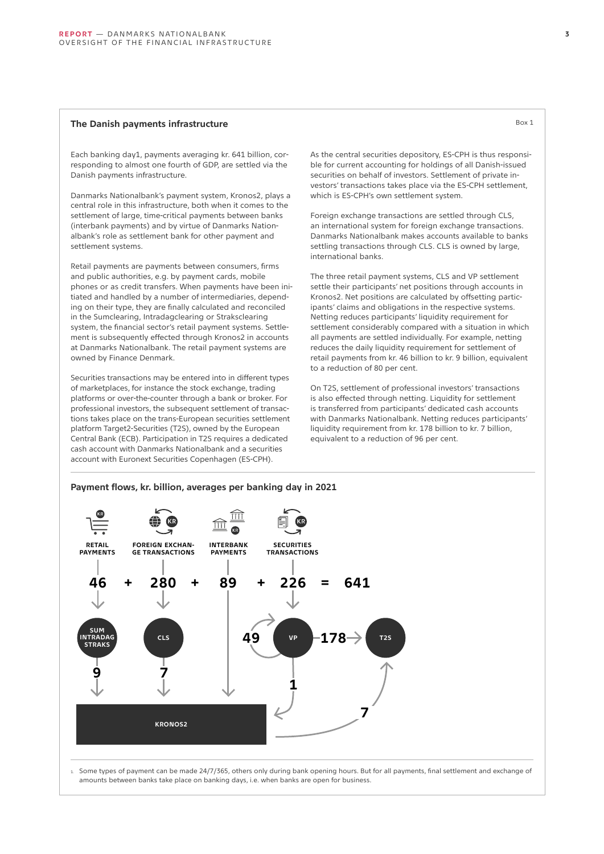#### <span id="page-2-0"></span>**The Danish payments infrastructure** Box 1

Each banking day1, payments averaging kr. 641 billion, corresponding to almost one fourth of GDP, are settled via the Danish payments infrastructure.

Danmarks Nationalbank's payment system, Kronos2, plays a central role in this infrastructure, both when it comes to the settlement of large, time-critical payments between banks (interbank payments) and by virtue of Danmarks Nationalbank's role as settlement bank for other payment and settlement systems.

Retail payments are payments between consumers, firms and public authorities, e.g. by payment cards, mobile phones or as credit transfers. When payments have been initiated and handled by a number of intermediaries, depending on their type, they are finally calculated and reconciled in the Sumclearing, Intradagclearing or Straksclearing system, the financial sector's retail payment systems. Settlement is subsequently effected through Kronos2 in accounts at Danmarks Nationalbank. The retail payment systems are owned by Finance Denmark.

Securities transactions may be entered into in different types of marketplaces, for instance the stock exchange, trading platforms or over-the-counter through a bank or broker. For professional investors, the subsequent settlement of transactions takes place on the trans-European securities settlement platform Target2-Securities (T2S), owned by the European Central Bank (ECB). Participation in T2S requires a dedicated cash account with Danmarks Nationalbank and a securities account with Euronext Securities Copenhagen (ES-CPH).

As the central securities depository, ES-CPH is thus responsible for current accounting for holdings of all Danish-issued securities on behalf of investors. Settlement of private investors' transactions takes place via the ES-CPH settlement, which is ES-CPH's own settlement system.

Foreign exchange transactions are settled through CLS, an international system for foreign exchange transactions. Danmarks Nationalbank makes accounts available to banks settling transactions through CLS. CLS is owned by large, international banks.

The three retail payment systems, CLS and VP settlement settle their participants' net positions through accounts in Kronos2. Net positions are calculated by offsetting participants' claims and obligations in the respective systems. Netting reduces participants' liquidity requirement for settlement considerably compared with a situation in which all payments are settled individually. For example, netting reduces the daily liquidity requirement for settlement of retail payments from kr. 46 billion to kr. 9 billion, equivalent to a reduction of 80 per cent.

On T2S, settlement of professional investors' transactions is also effected through netting. Liquidity for settlement is transferred from participants' dedicated cash accounts with Danmarks Nationalbank. Netting reduces participants' liquidity requirement from kr. 178 billion to kr. 7 billion, equivalent to a reduction of 96 per cent.

#### **Payment flows, kr. billion, averages per banking day in 2021**



1. Some types of payment can be made 24/7/365, others only during bank opening hours. But for all payments, final settlement and exchange of amounts between banks take place on banking days, i.e. when banks are open for business.

**3**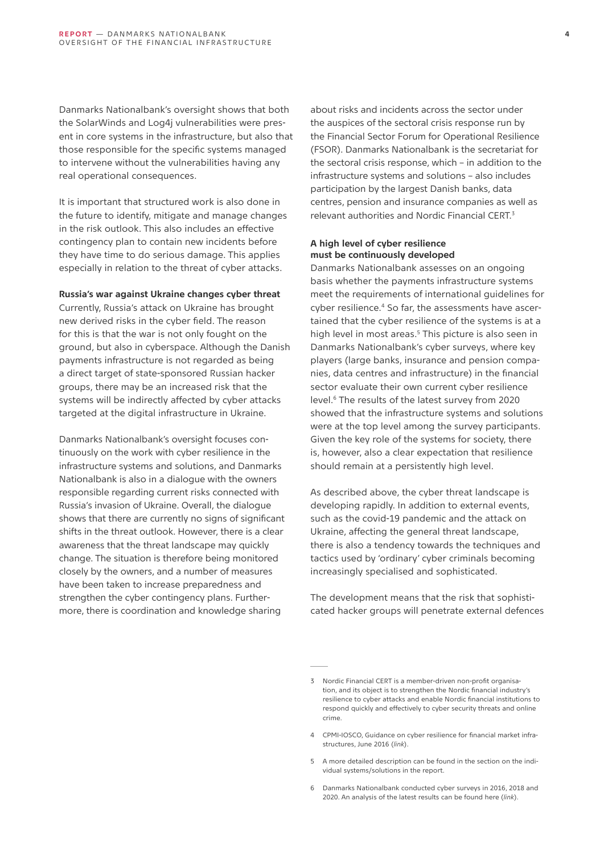Danmarks Nationalbank's oversight shows that both the SolarWinds and Log4j vulnerabilities were present in core systems in the infrastructure, but also that those responsible for the specific systems managed to intervene without the vulnerabilities having any real operational consequences.

It is important that structured work is also done in the future to identify, mitigate and manage changes in the risk outlook. This also includes an effective contingency plan to contain new incidents before they have time to do serious damage. This applies especially in relation to the threat of cyber attacks.

#### **Russia's war against Ukraine changes cyber threat**

Currently, Russia's attack on Ukraine has brought new derived risks in the cyber field. The reason for this is that the war is not only fought on the ground, but also in cyberspace. Although the Danish payments infrastructure is not regarded as being a direct target of state-sponsored Russian hacker groups, there may be an increased risk that the systems will be indirectly affected by cyber attacks targeted at the digital infrastructure in Ukraine.

Danmarks Nationalbank's oversight focuses continuously on the work with cyber resilience in the infrastructure systems and solutions, and Danmarks Nationalbank is also in a dialogue with the owners responsible regarding current risks connected with Russia's invasion of Ukraine. Overall, the dialogue shows that there are currently no signs of significant shifts in the threat outlook. However, there is a clear awareness that the threat landscape may quickly change. The situation is therefore being monitored closely by the owners, and a number of measures have been taken to increase preparedness and strengthen the cyber contingency plans. Furthermore, there is coordination and knowledge sharing

about risks and incidents across the sector under the auspices of the sectoral crisis response run by the Financial Sector Forum for Operational Resilience (FSOR). Danmarks Nationalbank is the secretariat for the sectoral crisis response, which – in addition to the infrastructure systems and solutions – also includes participation by the largest Danish banks, data centres, pension and insurance companies as well as relevant authorities and Nordic Financial CERT.<sup>3</sup>

#### **A high level of cyber resilience must be continuously developed**

Danmarks Nationalbank assesses on an ongoing basis whether the payments infrastructure systems meet the requirements of international guidelines for cyber resilience.4 So far, the assessments have ascertained that the cyber resilience of the systems is at a high level in most areas.<sup>5</sup> This picture is also seen in Danmarks Nationalbank's cyber surveys, where key players (large banks, insurance and pension companies, data centres and infrastructure) in the financial sector evaluate their own current cyber resilience level.6 The results of the latest survey from 2020 showed that the infrastructure systems and solutions were at the top level among the survey participants. Given the key role of the systems for society, there is, however, also a clear expectation that resilience should remain at a persistently high level.

As described above, the cyber threat landscape is developing rapidly. In addition to external events, such as the covid-19 pandemic and the attack on Ukraine, affecting the general threat landscape, there is also a tendency towards the techniques and tactics used by 'ordinary' cyber criminals becoming increasingly specialised and sophisticated.

The development means that the risk that sophisticated hacker groups will penetrate external defences

<sup>3</sup> Nordic Financial CERT is a member-driven non-profit organisation, and its object is to strengthen the Nordic financial industry's resilience to cyber attacks and enable Nordic financial institutions to respond quickly and effectively to cyber security threats and online crime.

<sup>4</sup> CPMI-IOSCO, Guidance on cyber resilience for financial market infrastructures, June 2016 (*[link](https://www.bis.org/cpmi/publ/d146.pdf)*).

<sup>5</sup> A more detailed description can be found in the section on the individual systems/solutions in the report.

<sup>6</sup> Danmarks Nationalbank conducted cyber surveys in 2016, 2018 and 2020. An analysis of the latest results can be found here (*[link](https://www.nationalbanken.dk/da/publikationer/Documents/2021/09/ANALYSE_nr. 20_Hvor cyberrobust er den finansielle sektor i Danmark.pdf)*).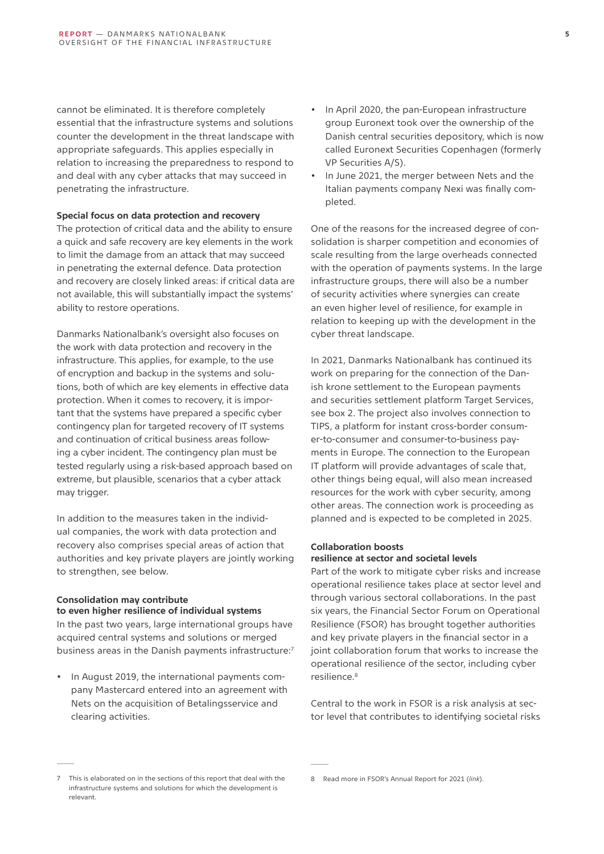<span id="page-4-0"></span>cannot be eliminated. It is therefore completely essential that the infrastructure systems and solutions counter the development in the threat landscape with appropriate safeguards. This applies especially in relation to increasing the preparedness to respond to and deal with any cyber attacks that may succeed in penetrating the infrastructure.

#### **Special focus on data protection and recovery**

The protection of critical data and the ability to ensure a quick and safe recovery are key elements in the work to limit the damage from an attack that may succeed in penetrating the external defence. Data protection and recovery are closely linked areas: if critical data are not available, this will substantially impact the systems' ability to restore operations.

Danmarks Nationalbank's oversight also focuses on the work with data protection and recovery in the infrastructure. This applies, for example, to the use of encryption and backup in the systems and solutions, both of which are key elements in effective data protection. When it comes to recovery, it is important that the systems have prepared a specific cyber contingency plan for targeted recovery of IT systems and continuation of critical business areas following a cyber incident. The contingency plan must be tested regularly using a risk-based approach based on extreme, but plausible, scenarios that a cyber attack may trigger.

In addition to the measures taken in the individual companies, the work with data protection and recovery also comprises special areas of action that authorities and key private players are jointly working to strengthen, see below.

### **Consolidation may contribute**

**to even higher resilience of individual systems** In the past two years, large international groups have acquired central systems and solutions or merged business areas in the Danish payments infrastructure:7

• In August 2019, the international payments company Mastercard entered into an agreement with Nets on the acquisition of Betalingsservice and clearing activities.

- In April 2020, the pan-European infrastructure group Euronext took over the ownership of the Danish central securities depository, which is now called Euronext Securities Copenhagen (formerly VP Securities A/S).
- In June 2021, the merger between Nets and the Italian payments company Nexi was finally completed.

One of the reasons for the increased degree of consolidation is sharper competition and economies of scale resulting from the large overheads connected with the operation of payments systems. In the large infrastructure groups, there will also be a number of security activities where synergies can create an even higher level of resilience, for example in relation to keeping up with the development in the cyber threat landscape.

In 2021, Danmarks Nationalbank has continued its work on preparing for the connection of the Danish krone settlement to the European payments and securities settlement platform Target Services, see box 2. The project also involves connection to TIPS, a platform for instant cross-border consumer-to-consumer and consumer-to-business payments in Europe. The connection to the European IT platform will provide advantages of scale that, other things being equal, will also mean increased resources for the work with cyber security, among other areas. The connection work is proceeding as planned and is expected to be completed in 2025.

#### **Collaboration boosts resilience at sector and societal levels**

Part of the work to mitigate cyber risks and increase operational resilience takes place at sector level and through various sectoral collaborations. In the past six years, the Financial Sector Forum on Operational Resilience (FSOR) has brought together authorities and key private players in the financial sector in a joint collaboration forum that works to increase the operational resilience of the sector, including cyber resilience.8

Central to the work in FSOR is a risk analysis at sector level that contributes to identifying societal risks

<sup>7</sup> This is elaborated on in the sections of this report that deal with the infrastructure systems and solutions for which the development is relevant.

<sup>8</sup> Read more in FSOR's Annual Report for 2021 (*[link](https://www.nationalbanken.dk/en/financialstability/Operational/Documents/FSOR-Aarsberetning__2021%20UK.pdf)*).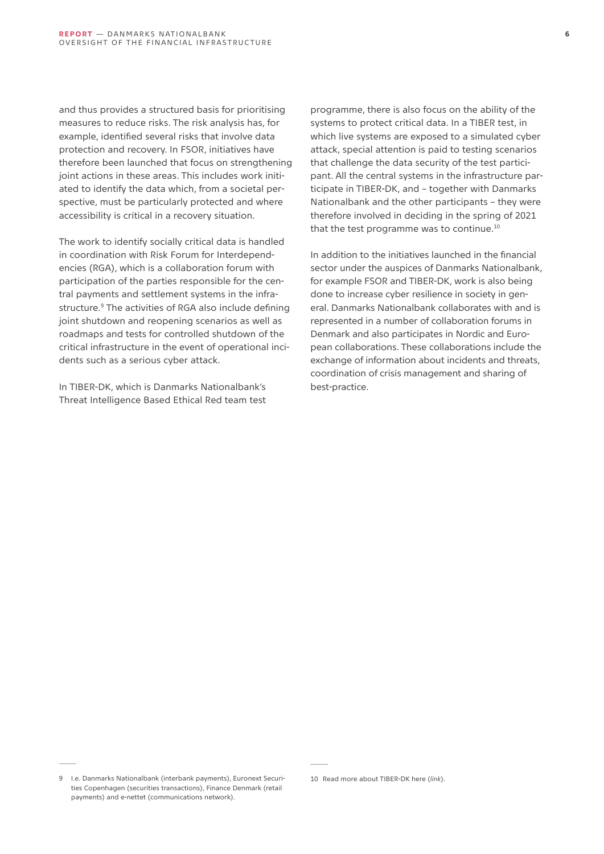and thus provides a structured basis for prioritising measures to reduce risks. The risk analysis has, for example, identified several risks that involve data protection and recovery. In FSOR, initiatives have therefore been launched that focus on strengthening joint actions in these areas. This includes work initiated to identify the data which, from a societal perspective, must be particularly protected and where accessibility is critical in a recovery situation.

The work to identify socially critical data is handled in coordination with Risk Forum for Interdependencies (RGA), which is a collaboration forum with participation of the parties responsible for the central payments and settlement systems in the infrastructure.<sup>9</sup> The activities of RGA also include defining joint shutdown and reopening scenarios as well as roadmaps and tests for controlled shutdown of the critical infrastructure in the event of operational incidents such as a serious cyber attack.

In TIBER-DK, which is Danmarks Nationalbank's Threat Intelligence Based Ethical Red team test

programme, there is also focus on the ability of the systems to protect critical data. In a TIBER test, in which live systems are exposed to a simulated cyber attack, special attention is paid to testing scenarios that challenge the data security of the test participant. All the central systems in the infrastructure participate in TIBER-DK, and – together with Danmarks Nationalbank and the other participants – they were therefore involved in deciding in the spring of 2021 that the test programme was to continue.<sup>10</sup>

In addition to the initiatives launched in the financial sector under the auspices of Danmarks Nationalbank, for example FSOR and TIBER-DK, work is also being done to increase cyber resilience in society in general. Danmarks Nationalbank collaborates with and is represented in a number of collaboration forums in Denmark and also participates in Nordic and European collaborations. These collaborations include the exchange of information about incidents and threats, coordination of crisis management and sharing of best-practice.

<sup>9</sup> I.e. Danmarks Nationalbank (interbank payments), Euronext Securities Copenhagen (securities transactions), Finance Denmark (retail payments) and e-nettet (communications network).

<sup>10</sup> Read more about TIBER-DK here (*[link](https://www.nationalbanken.dk/en/financialstability/Operational/Documents/TIBER-DK%20in%20brief.pdf)*).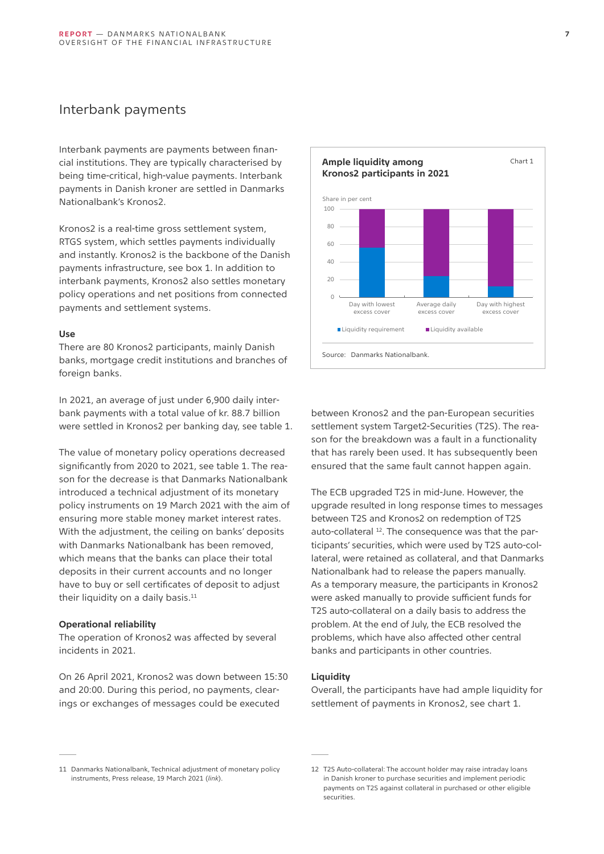## <span id="page-6-0"></span>Interbank payments

Interbank payments are payments between financial institutions. They are typically characterised by being time-critical, high-value payments. Interbank payments in Danish kroner are settled in Danmarks Nationalbank's Kronos2.

Kronos2 is a real-time gross settlement system, RTGS system, which settles payments individually and instantly. Kronos2 is the backbone of the Danish payments infrastructure, see box 1. In addition to interbank payments, Kronos2 also settles monetary policy operations and net positions from connected payments and settlement systems.

#### **Use**

There are 80 Kronos2 participants, mainly Danish banks, mortgage credit institutions and branches of foreign banks.

In 2021, an average of just under 6,900 daily interbank payments with a total value of kr. 88.7 billion were settled in Kronos2 per banking day, see table 1.

The value of monetary policy operations decreased significantly from 2020 to 2021, see table 1. The reason for the decrease is that Danmarks Nationalbank introduced a technical adjustment of its monetary policy instruments on 19 March 2021 with the aim of ensuring more stable money market interest rates. With the adjustment, the ceiling on banks' deposits with Danmarks Nationalbank has been removed, which means that the banks can place their total deposits in their current accounts and no longer have to buy or sell certificates of deposit to adjust their liquidity on a daily basis. $11$ 

#### **Operational reliability**

The operation of Kronos2 was affected by several incidents in 2021.

On 26 April 2021, Kronos2 was down between 15:30 and 20:00. During this period, no payments, clearings or exchanges of messages could be executed



between Kronos2 and the pan-European securities settlement system Target2-Securities (T2S). The reason for the breakdown was a fault in a functionality that has rarely been used. It has subsequently been ensured that the same fault cannot happen again.

The ECB upgraded T2S in mid-June. However, the upgrade resulted in long response times to messages between T2S and Kronos2 on redemption of T2S auto-collateral <sup>12</sup>. The consequence was that the participants' securities, which were used by T2S auto-collateral, were retained as collateral, and that Danmarks Nationalbank had to release the papers manually. As a temporary measure, the participants in Kronos2 were asked manually to provide sufficient funds for T2S auto-collateral on a daily basis to address the problem. At the end of July, the ECB resolved the problems, which have also affected other central banks and participants in other countries.

#### **Liquidity**

Overall, the participants have had ample liquidity for settlement of payments in Kronos2, see chart 1.

<sup>11</sup> Danmarks Nationalbank, Technical adjustment of monetary policy instruments, Press release, 19 March 2021 (*[link](https://www.nationalbanken.dk/da/presse/Sider/2021/03/DNN202114731.aspx)*).

<sup>12</sup> T2S Auto-collateral: The account holder may raise intraday loans in Danish kroner to purchase securities and implement periodic payments on T2S against collateral in purchased or other eligible securities.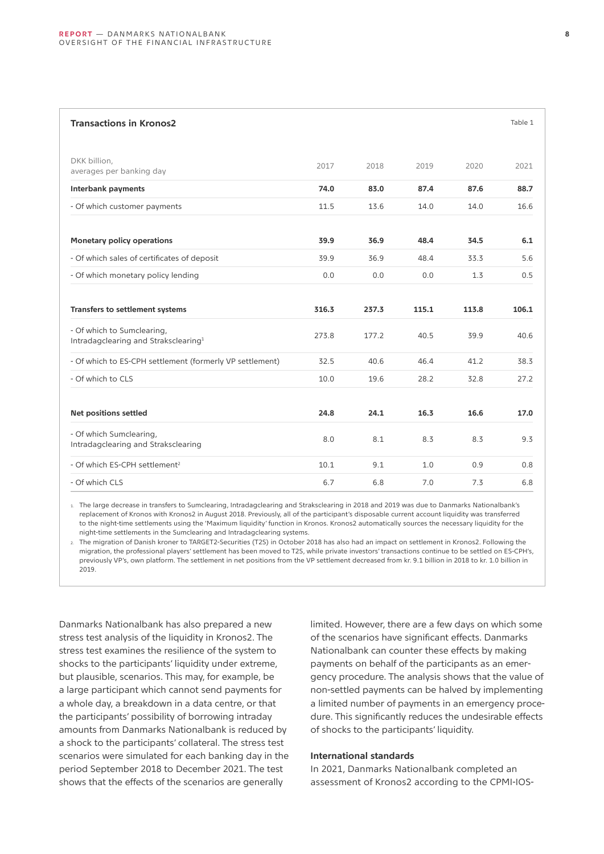| <b>Transactions in Kronos2</b>                                                 |       |       |       |       | Table 1 |
|--------------------------------------------------------------------------------|-------|-------|-------|-------|---------|
| DKK billion,<br>averages per banking day                                       | 2017  | 2018  | 2019  | 2020  | 2021    |
| <b>Interbank payments</b>                                                      | 74.0  | 83.0  | 87.4  | 87.6  | 88.7    |
| - Of which customer payments                                                   | 11.5  | 13.6  | 14.0  | 14.0  | 16.6    |
| <b>Monetary policy operations</b>                                              | 39.9  | 36.9  | 48.4  | 34.5  | 6.1     |
| - Of which sales of certificates of deposit                                    | 39.9  | 36.9  | 48.4  | 33.3  | 5.6     |
| - Of which monetary policy lending                                             | 0.0   | 0.0   | 0.0   | 1.3   | 0.5     |
| Transfers to settlement systems                                                | 316.3 | 237.3 | 115.1 | 113.8 | 106.1   |
| - Of which to Sumclearing,<br>Intradagclearing and Straksclearing <sup>1</sup> | 273.8 | 177.2 | 40.5  | 39.9  | 40.6    |
| - Of which to ES-CPH settlement (formerly VP settlement)                       | 32.5  | 40.6  | 46.4  | 41.2  | 38.3    |
| - Of which to CLS                                                              | 10.0  | 19.6  | 28.2  | 32.8  | 27.2    |
| <b>Net positions settled</b>                                                   | 24.8  | 24.1  | 16.3  | 16.6  | 17.0    |
| - Of which Sumclearing,<br>Intradagclearing and Straksclearing                 | 8.0   | 8.1   | 8.3   | 8.3   | 9.3     |
| - Of which ES-CPH settlement <sup>2</sup>                                      | 10.1  | 9.1   | 1.0   | 0.9   | 0.8     |
| - Of which CLS                                                                 | 6.7   | 6.8   | 7.0   | 7.3   | 6.8     |
|                                                                                |       |       |       |       |         |

1. The large decrease in transfers to Sumclearing, Intradagclearing and Straksclearing in 2018 and 2019 was due to Danmarks Nationalbank's replacement of Kronos with Kronos2 in August 2018. Previously, all of the participant's disposable current account liquidity was transferred to the night-time settlements using the 'Maximum liquidity' function in Kronos. Kronos2 automatically sources the necessary liquidity for the night-time settlements in the Sumclearing and Intradagclearing systems.

2. The migration of Danish kroner to TARGET2-Securities (T2S) in October 2018 has also had an impact on settlement in Kronos2. Following the migration, the professional players' settlement has been moved to T2S, while private investors' transactions continue to be settled on ES-CPH's, previously VP's, own platform. The settlement in net positions from the VP settlement decreased from kr. 9.1 billion in 2018 to kr. 1.0 billion in 2019.

Danmarks Nationalbank has also prepared a new stress test analysis of the liquidity in Kronos2. The stress test examines the resilience of the system to shocks to the participants' liquidity under extreme, but plausible, scenarios. This may, for example, be a large participant which cannot send payments for a whole day, a breakdown in a data centre, or that the participants' possibility of borrowing intraday amounts from Danmarks Nationalbank is reduced by a shock to the participants' collateral. The stress test scenarios were simulated for each banking day in the period September 2018 to December 2021. The test shows that the effects of the scenarios are generally

limited. However, there are a few days on which some of the scenarios have significant effects. Danmarks Nationalbank can counter these effects by making payments on behalf of the participants as an emergency procedure. The analysis shows that the value of non-settled payments can be halved by implementing a limited number of payments in an emergency procedure. This significantly reduces the undesirable effects of shocks to the participants' liquidity.

#### **International standards**

In 2021, Danmarks Nationalbank completed an assessment of Kronos2 according to the CPMI-IOS-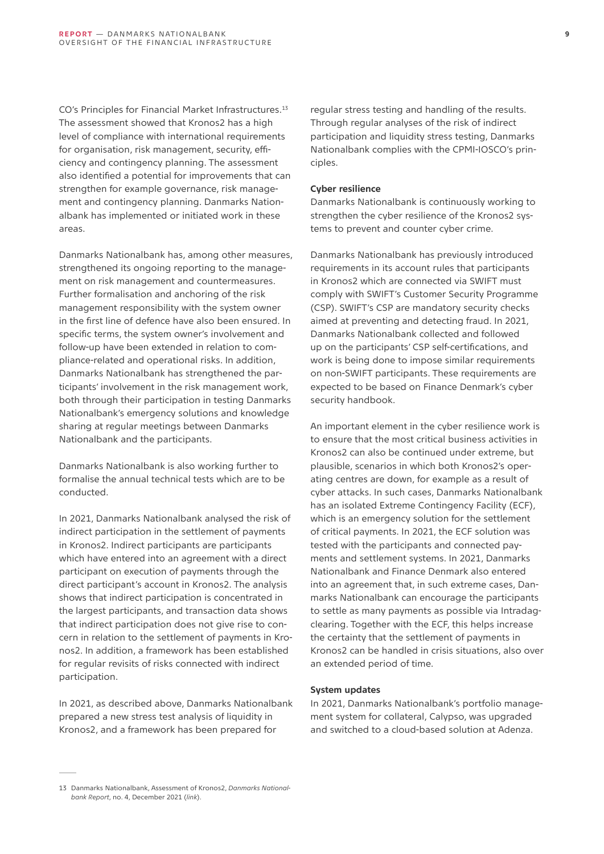CO's Principles for Financial Market Infrastructures.<sup>13</sup> The assessment showed that Kronos2 has a high level of compliance with international requirements for organisation, risk management, security, efficiency and contingency planning. The assessment also identified a potential for improvements that can strengthen for example governance, risk management and contingency planning. Danmarks Nationalbank has implemented or initiated work in these areas.

Danmarks Nationalbank has, among other measures, strengthened its ongoing reporting to the management on risk management and countermeasures. Further formalisation and anchoring of the risk management responsibility with the system owner in the first line of defence have also been ensured. In specific terms, the system owner's involvement and follow-up have been extended in relation to compliance-related and operational risks. In addition, Danmarks Nationalbank has strengthened the participants' involvement in the risk management work, both through their participation in testing Danmarks Nationalbank's emergency solutions and knowledge sharing at regular meetings between Danmarks Nationalbank and the participants.

Danmarks Nationalbank is also working further to formalise the annual technical tests which are to be conducted.

In 2021, Danmarks Nationalbank analysed the risk of indirect participation in the settlement of payments in Kronos2. Indirect participants are participants which have entered into an agreement with a direct participant on execution of payments through the direct participant's account in Kronos2. The analysis shows that indirect participation is concentrated in the largest participants, and transaction data shows that indirect participation does not give rise to concern in relation to the settlement of payments in Kronos2. In addition, a framework has been established for regular revisits of risks connected with indirect participation.

In 2021, as described above, Danmarks Nationalbank prepared a new stress test analysis of liquidity in Kronos2, and a framework has been prepared for

regular stress testing and handling of the results. Through regular analyses of the risk of indirect participation and liquidity stress testing, Danmarks Nationalbank complies with the CPMI-IOSCO's principles.

#### **Cyber resilience**

Danmarks Nationalbank is continuously working to strengthen the cyber resilience of the Kronos2 systems to prevent and counter cyber crime.

Danmarks Nationalbank has previously introduced requirements in its account rules that participants in Kronos2 which are connected via SWIFT must comply with SWIFT's Customer Security Programme (CSP). SWIFT's CSP are mandatory security checks aimed at preventing and detecting fraud. In 2021, Danmarks Nationalbank collected and followed up on the participants' CSP self-certifications, and work is being done to impose similar requirements on non-SWIFT participants. These requirements are expected to be based on Finance Denmark's cyber security handbook.

An important element in the cyber resilience work is to ensure that the most critical business activities in Kronos2 can also be continued under extreme, but plausible, scenarios in which both Kronos2's operating centres are down, for example as a result of cyber attacks. In such cases, Danmarks Nationalbank has an isolated Extreme Contingency Facility (ECF), which is an emergency solution for the settlement of critical payments. In 2021, the ECF solution was tested with the participants and connected payments and settlement systems. In 2021, Danmarks Nationalbank and Finance Denmark also entered into an agreement that, in such extreme cases, Danmarks Nationalbank can encourage the participants to settle as many payments as possible via Intradagclearing. Together with the ECF, this helps increase the certainty that the settlement of payments in Kronos2 can be handled in crisis situations, also over an extended period of time.

#### **System updates**

In 2021, Danmarks Nationalbank's portfolio management system for collateral, Calypso, was upgraded and switched to a cloud-based solution at Adenza.

<sup>13</sup> Danmarks Nationalbank, Assessment of Kronos2, *Danmarks Nationalbank Report*, no. 4, December 2021 (*[link](https://www.nationalbanken.dk/da/publikationer/Documents/2021/12/ENDELIG - RAPPORT_Nr. 4_Vurdering af Kronos2.pdf)*).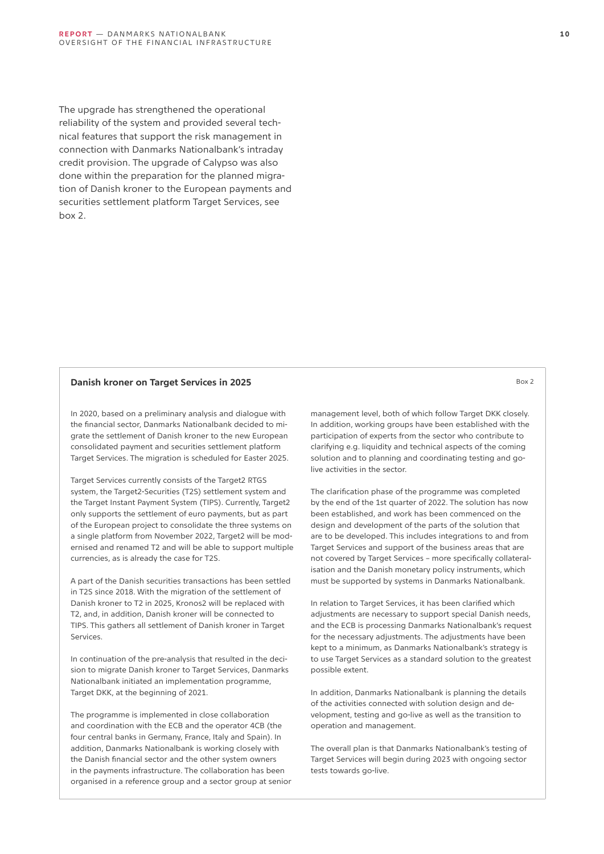The upgrade has strengthened the operational reliability of the system and provided several technical features that support the risk management in connection with Danmarks Nationalbank's intraday credit provision. The upgrade of Calypso was also done within the preparation for the planned migration of Danish kroner to the European payments and securities settlement platform Target Services, see box 2.

#### **Danish kroner on Target Services in 2025** Box 2

In 2020, based on a preliminary analysis and dialogue with the financial sector, Danmarks Nationalbank decided to migrate the settlement of Danish kroner to the new European consolidated payment and securities settlement platform Target Services. The migration is scheduled for Easter 2025.

Target Services currently consists of the Target2 RTGS system, the Target2-Securities (T2S) settlement system and the Target Instant Payment System (TIPS). Currently, Target2 only supports the settlement of euro payments, but as part of the European project to consolidate the three systems on a single platform from November 2022, Target2 will be modernised and renamed T2 and will be able to support multiple currencies, as is already the case for T2S.

A part of the Danish securities transactions has been settled in T2S since 2018. With the migration of the settlement of Danish kroner to T2 in 2025, Kronos2 will be replaced with T2, and, in addition, Danish kroner will be connected to TIPS. This gathers all settlement of Danish kroner in Target Services.

In continuation of the pre-analysis that resulted in the decision to migrate Danish kroner to Target Services, Danmarks Nationalbank initiated an implementation programme, Target DKK, at the beginning of 2021.

The programme is implemented in close collaboration and coordination with the ECB and the operator 4CB (the four central banks in Germany, France, Italy and Spain). In addition, Danmarks Nationalbank is working closely with the Danish financial sector and the other system owners in the payments infrastructure. The collaboration has been organised in a reference group and a sector group at senior management level, both of which follow Target DKK closely. In addition, working groups have been established with the participation of experts from the sector who contribute to clarifying e.g. liquidity and technical aspects of the coming solution and to planning and coordinating testing and golive activities in the sector.

The clarification phase of the programme was completed by the end of the 1st quarter of 2022. The solution has now been established, and work has been commenced on the design and development of the parts of the solution that are to be developed. This includes integrations to and from Target Services and support of the business areas that are not covered by Target Services – more specifically collateralisation and the Danish monetary policy instruments, which must be supported by systems in Danmarks Nationalbank.

In relation to Target Services, it has been clarified which adjustments are necessary to support special Danish needs, and the ECB is processing Danmarks Nationalbank's request for the necessary adjustments. The adjustments have been kept to a minimum, as Danmarks Nationalbank's strategy is to use Target Services as a standard solution to the greatest possible extent.

In addition, Danmarks Nationalbank is planning the details of the activities connected with solution design and development, testing and go-live as well as the transition to operation and management.

The overall plan is that Danmarks Nationalbank's testing of Target Services will begin during 2023 with ongoing sector tests towards go-live.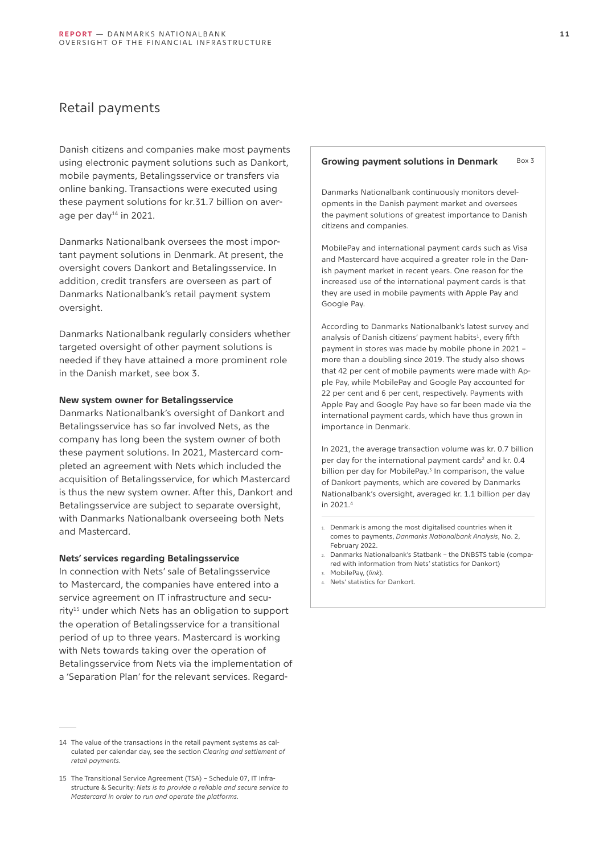## <span id="page-10-0"></span>Retail payments

Danish citizens and companies make most payments using electronic payment solutions such as Dankort, mobile payments, Betalingsservice or transfers via online banking. Transactions were executed using these payment solutions for kr.31.7 billion on average per day<sup>14</sup> in 2021.

Danmarks Nationalbank oversees the most important payment solutions in Denmark. At present, the oversight covers Dankort and Betalingsservice. In addition, credit transfers are overseen as part of Danmarks Nationalbank's retail payment system oversight.

Danmarks Nationalbank regularly considers whether targeted oversight of other payment solutions is needed if they have attained a more prominent role in the Danish market, see box 3.

#### **New system owner for Betalingsservice**

Danmarks Nationalbank's oversight of Dankort and Betalingsservice has so far involved Nets, as the company has long been the system owner of both these payment solutions. In 2021, Mastercard completed an agreement with Nets which included the acquisition of Betalingsservice, for which Mastercard is thus the new system owner. After this, Dankort and Betalingsservice are subject to separate oversight, with Danmarks Nationalbank overseeing both Nets and Mastercard.

#### **Nets' services regarding Betalingsservice**

In connection with Nets' sale of Betalingsservice to Mastercard, the companies have entered into a service agreement on IT infrastructure and security<sup>15</sup> under which Nets has an obligation to support the operation of Betalingsservice for a transitional period of up to three years. Mastercard is working with Nets towards taking over the operation of Betalingsservice from Nets via the implementation of a 'Separation Plan' for the relevant services. Regard-

#### Growing payment solutions in Denmark Box 3

Danmarks Nationalbank continuously monitors developments in the Danish payment market and oversees the payment solutions of greatest importance to Danish citizens and companies.

MobilePay and international payment cards such as Visa and Mastercard have acquired a greater role in the Danish payment market in recent years. One reason for the increased use of the international payment cards is that they are used in mobile payments with Apple Pay and Google Pay.

According to Danmarks Nationalbank's latest survey and analysis of Danish citizens' payment habits<sup>1</sup>, every fifth payment in stores was made by mobile phone in 2021 – more than a doubling since 2019. The study also shows that 42 per cent of mobile payments were made with Apple Pay, while MobilePay and Google Pay accounted for 22 per cent and 6 per cent, respectively. Payments with Apple Pay and Google Pay have so far been made via the international payment cards, which have thus grown in importance in Denmark.

In 2021, the average transaction volume was kr. 0.7 billion per day for the international payment cards<sup>2</sup> and kr. 0.4 billion per day for MobilePay.<sup>3</sup> In comparison, the value of Dankort payments, which are covered by Danmarks Nationalbank's oversight, averaged kr. 1.1 billion per day in 2021.<sup>4</sup>

- 1. Denmark is among the most digitalised countries when it comes to payments, *Danmarks Nationalbank Analysis*, No. 2, February 2022.
- 2. Danmarks Nationalbank's Statbank the DNBSTS table (compared with information from [Nets' statistics](http://nationalbanken.statistikbank.dk/statbank5a/SelectTable/Omrade0.asp?PLanguage=0) for Dankort)
- 3. MobilePay, (*[link](https://www.mobilepay.dk/nyheder/2022/02/06/nethandel-overgar-fysiske-butikker)*).
- 4. [Nets' statistics](http://nationalbanken.statistikbank.dk/statbank5a/SelectTable/Omrade0.asp?PLanguage=0) for Dankort.

<sup>14</sup> The value of the transactions in the retail payment systems as calculated per calendar day, see the section *Clearing and settlement of retail payments.*

<sup>15</sup> The Transitional Service Agreement (TSA) – Schedule 07, IT Infrastructure & Security: *Nets is to provide a reliable and secure service to Mastercard in order to run and operate the platforms.*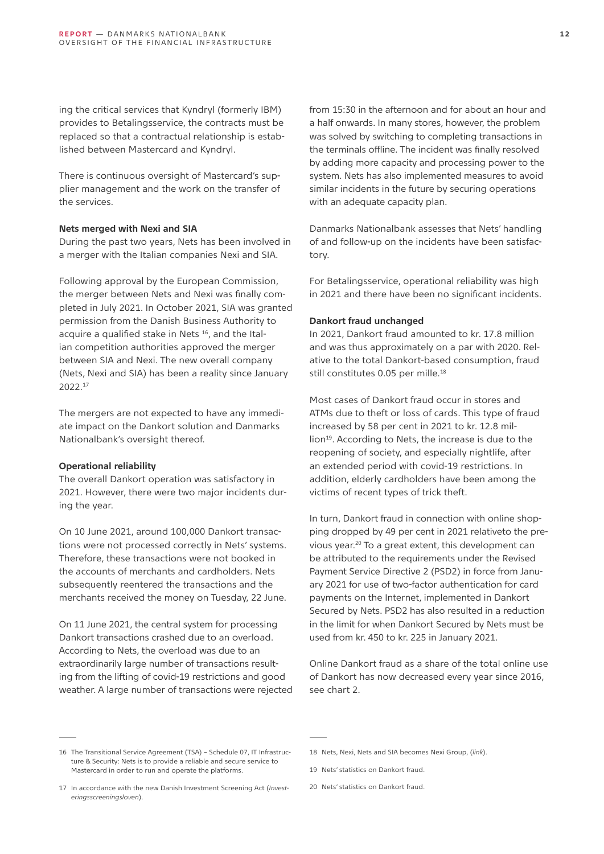ing the critical services that Kyndryl (formerly IBM) provides to Betalingsservice, the contracts must be replaced so that a contractual relationship is established between Mastercard and Kyndryl.

There is continuous oversight of Mastercard's supplier management and the work on the transfer of the services.

#### **Nets merged with Nexi and SIA**

During the past two years, Nets has been involved in a merger with the Italian companies Nexi and SIA.

Following approval by the European Commission, the merger between Nets and Nexi was finally completed in July 2021. In October 2021, SIA was granted permission from the Danish Business Authority to acquire a qualified stake in Nets<sup>16</sup>, and the Italian competition authorities approved the merger between SIA and Nexi. The new overall company (Nets, Nexi and SIA) has been a reality since January 2022.<sup>17</sup>

The mergers are not expected to have any immediate impact on the Dankort solution and Danmarks Nationalbank's oversight thereof.

#### **Operational reliability**

The overall Dankort operation was satisfactory in 2021. However, there were two major incidents during the year.

On 10 June 2021, around 100,000 Dankort transactions were not processed correctly in Nets' systems. Therefore, these transactions were not booked in the accounts of merchants and cardholders. Nets subsequently reentered the transactions and the merchants received the money on Tuesday, 22 June.

On 11 June 2021, the central system for processing Dankort transactions crashed due to an overload. According to Nets, the overload was due to an extraordinarily large number of transactions resulting from the lifting of covid-19 restrictions and good weather. A large number of transactions were rejected from 15:30 in the afternoon and for about an hour and a half onwards. In many stores, however, the problem was solved by switching to completing transactions in the terminals offline. The incident was finally resolved by adding more capacity and processing power to the system. Nets has also implemented measures to avoid similar incidents in the future by securing operations with an adequate capacity plan.

Danmarks Nationalbank assesses that Nets' handling of and follow-up on the incidents have been satisfactory.

For Betalingsservice, operational reliability was high in 2021 and there have been no significant incidents.

#### **Dankort fraud unchanged**

In 2021, Dankort fraud amounted to kr. 17.8 million and was thus approximately on a par with 2020. Relative to the total Dankort-based consumption, fraud still constitutes 0.05 per mille.<sup>18</sup>

Most cases of Dankort fraud occur in stores and ATMs due to theft or loss of cards. This type of fraud increased by 58 per cent in 2021 to kr. 12.8 million<sup>19</sup>. According to Nets, the increase is due to the reopening of society, and especially nightlife, after an extended period with covid-19 restrictions. In addition, elderly cardholders have been among the victims of recent types of trick theft.

In turn, Dankort fraud in connection with online shopping dropped by 49 per cent in 2021 relativeto the previous year.20 To a great extent, this development can be attributed to the requirements under the Revised Payment Service Directive 2 (PSD2) in force from January 2021 for use of two-factor authentication for card payments on the Internet, implemented in Dankort Secured by Nets. PSD2 has also resulted in a reduction in the limit for when Dankort Secured by Nets must be used from kr. 450 to kr. 225 in January 2021.

Online Dankort fraud as a share of the total online use of Dankort has now decreased every year since 2016, see chart 2.

<sup>16</sup> The Transitional Service Agreement (TSA) – Schedule 07, IT Infrastructure & Security: Nets is to provide a reliable and secure service to Mastercard in order to run and operate the platforms.

<sup>17</sup> In accordance with the new Danish Investment Screening Act (*Investeringsscreeningsloven*).

<sup>18</sup> Nets, Nexi, Nets and SIA becomes Nexi Group, (*[link](C:\Users\anhk\AppData\Roaming\Microsoft\Word\link)*).

<sup>19</sup> Nets' statistics on Dankort fraud.

<sup>20</sup> Nets' statistics on Dankort fraud.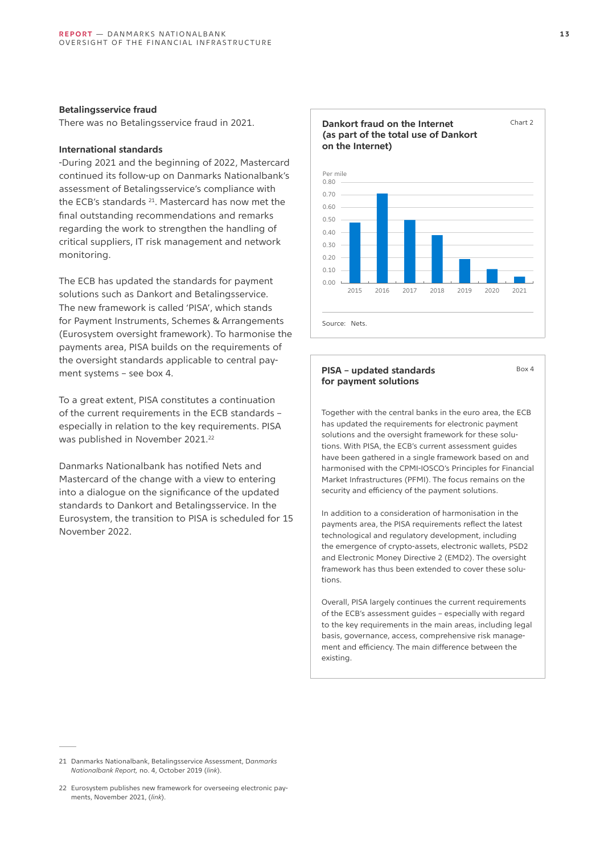#### **Betalingsservice fraud**

There was no Betalingsservice fraud in 2021.

#### **International standards**

-During 2021 and the beginning of 2022, Mastercard continued its follow-up on Danmarks Nationalbank's assessment of Betalingsservice's compliance with the ECB's standards <sup>21</sup>. Mastercard has now met the final outstanding recommendations and remarks regarding the work to strengthen the handling of critical suppliers, IT risk management and network monitoring.

The ECB has updated the standards for payment solutions such as Dankort and Betalingsservice. The new framework is called 'PISA', which stands for Payment Instruments, Schemes & Arrangements (Eurosystem oversight framework). To harmonise the payments area, PISA builds on the requirements of the oversight standards applicable to central payment systems – see box 4.

To a great extent, PISA constitutes a continuation of the current requirements in the ECB standards – especially in relation to the key requirements. PISA was published in November 2021.<sup>22</sup>

Danmarks Nationalbank has notified Nets and Mastercard of the change with a view to entering into a dialogue on the significance of the updated standards to Dankort and Betalingsservice. In the Eurosystem, the transition to PISA is scheduled for 15 November 2022.



#### **PISA – updated standards for payment solutions**

**Dankort fraud on the Internet** 

Together with the central banks in the euro area, the ECB has updated the requirements for electronic payment solutions and the oversight framework for these solutions. With PISA, the ECB's current assessment guides have been gathered in a single framework based on and harmonised with the CPMI-IOSCO's Principles for Financial Market Infrastructures (PFMI). The focus remains on the security and efficiency of the payment solutions.

In addition to a consideration of harmonisation in the payments area, the PISA requirements reflect the latest technological and regulatory development, including the emergence of crypto-assets, electronic wallets, PSD2 and Electronic Money Directive 2 (EMD2). The oversight framework has thus been extended to cover these solutions.

Overall, PISA largely continues the current requirements of the ECB's assessment guides – especially with regard to the key requirements in the main areas, including legal basis, governance, access, comprehensive risk management and efficiency. The main difference between the existing.

Chart 2

Box 4

<sup>21</sup> Danmarks Nationalbank, Betalingsservice Assessment, D*anmarks Nationalbank Report,* no. 4, October 2019 (*[link](http://www.nationalbanken.dk/da/publikationer/Sider/2019/10/Vurdering-af-Betalingsservice.aspx)*).

<sup>22</sup> Eurosystem publishes new framework for overseeing electronic payments, November 2021, (*[link](https://www.ecb.europa.eu/press/pr/date/2021/html/ecb.pr211122~381857cdfe.en.html)*).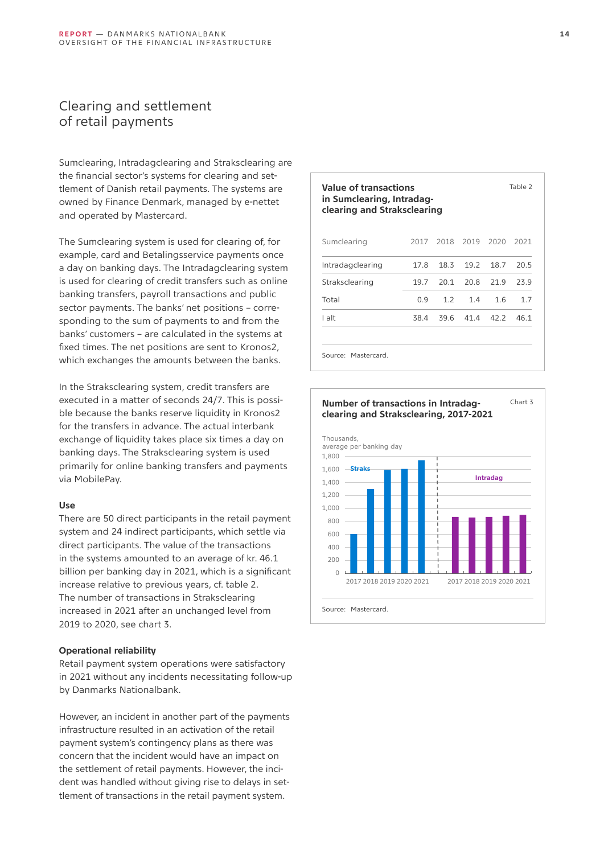## <span id="page-13-0"></span>Clearing and settlement of retail payments

Sumclearing, Intradagclearing and Straksclearing are the financial sector's systems for clearing and settlement of Danish retail payments. The systems are owned by Finance Denmark, managed by e-nettet and operated by Mastercard.

The Sumclearing system is used for clearing of, for example, card and Betalingsservice payments once a day on banking days. The Intradagclearing system is used for clearing of credit transfers such as online banking transfers, payroll transactions and public sector payments. The banks' net positions – corresponding to the sum of payments to and from the banks' customers – are calculated in the systems at fixed times. The net positions are sent to Kronos2, which exchanges the amounts between the banks.

In the Straksclearing system, credit transfers are executed in a matter of seconds 24/7. This is possible because the banks reserve liquidity in Kronos2 for the transfers in advance. The actual interbank exchange of liquidity takes place six times a day on banking days. The Straksclearing system is used primarily for online banking transfers and payments via MobilePay.

#### **Use**

There are 50 direct participants in the retail payment system and 24 indirect participants, which settle via direct participants. The value of the transactions in the systems amounted to an average of kr. 46.1 billion per banking day in 2021, which is a significant increase relative to previous years, cf. table 2. The number of transactions in Straksclearing increased in 2021 after an unchanged level from 2019 to 2020, see chart 3.

#### **Operational reliability**

Retail payment system operations were satisfactory in 2021 without any incidents necessitating follow-up by Danmarks Nationalbank.

However, an incident in another part of the payments infrastructure resulted in an activation of the retail payment system's contingency plans as there was concern that the incident would have an impact on the settlement of retail payments. However, the incident was handled without giving rise to delays in settlement of transactions in the retail payment system.

| Value of transactions<br>in Sumclearing, Intradag-<br>clearing and Straksclearing |      |      |           |      | Table 2 |
|-----------------------------------------------------------------------------------|------|------|-----------|------|---------|
| Sumclearing                                                                       | 2017 |      | 2018 2019 | 2020 | 2021    |
| Intradagclearing                                                                  | 17.8 | 18.3 | 19.2      | 18.7 | 20.5    |
| Straksclearing                                                                    | 19.7 | 20.1 | 20.8      | 21.9 | 23.9    |
| Total                                                                             | 0.9  | 1.2  | 1.4       | 1.6  | 1.7     |
| I alt                                                                             | 38.4 | 39.6 | 41.4      | 42.2 | 46.1    |
| Source: Mastercard                                                                |      |      |           |      |         |

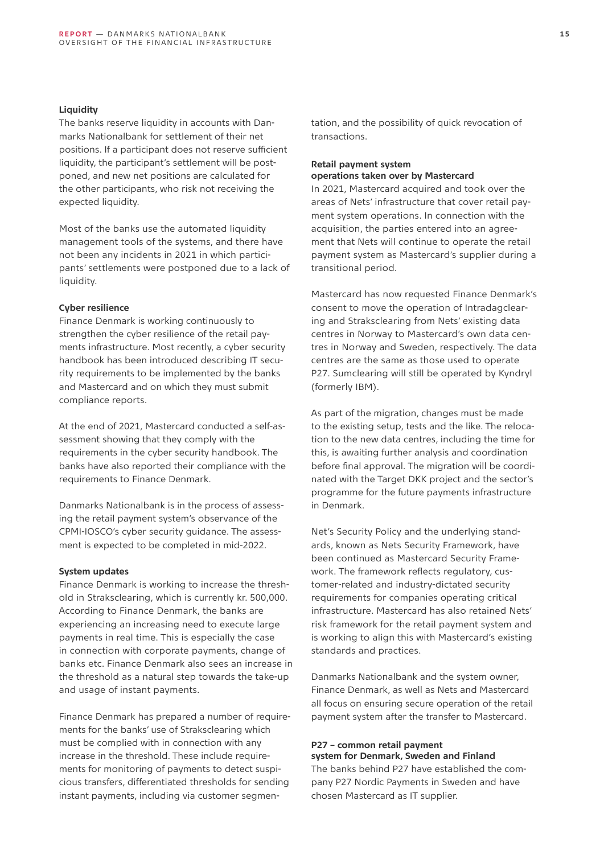#### **Liquidity**

The banks reserve liquidity in accounts with Danmarks Nationalbank for settlement of their net positions. If a participant does not reserve sufficient liquidity, the participant's settlement will be postponed, and new net positions are calculated for the other participants, who risk not receiving the expected liquidity.

Most of the banks use the automated liquidity management tools of the systems, and there have not been any incidents in 2021 in which participants' settlements were postponed due to a lack of liquidity.

#### **Cyber resilience**

Finance Denmark is working continuously to strengthen the cyber resilience of the retail payments infrastructure. Most recently, a cyber security handbook has been introduced describing IT security requirements to be implemented by the banks and Mastercard and on which they must submit compliance reports.

At the end of 2021, Mastercard conducted a self-assessment showing that they comply with the requirements in the cyber security handbook. The banks have also reported their compliance with the requirements to Finance Denmark.

Danmarks Nationalbank is in the process of assessing the retail payment system's observance of the CPMI-IOSCO's cyber security guidance. The assessment is expected to be completed in mid-2022.

#### **System updates**

Finance Denmark is working to increase the threshold in Straksclearing, which is currently kr. 500,000. According to Finance Denmark, the banks are experiencing an increasing need to execute large payments in real time. This is especially the case in connection with corporate payments, change of banks etc. Finance Denmark also sees an increase in the threshold as a natural step towards the take-up and usage of instant payments.

Finance Denmark has prepared a number of requirements for the banks' use of Straksclearing which must be complied with in connection with any increase in the threshold. These include requirements for monitoring of payments to detect suspicious transfers, differentiated thresholds for sending instant payments, including via customer segmen**1 5**

tation, and the possibility of quick revocation of transactions.

#### **Retail payment system operations taken over by Mastercard**

In 2021, Mastercard acquired and took over the areas of Nets' infrastructure that cover retail payment system operations. In connection with the acquisition, the parties entered into an agreement that Nets will continue to operate the retail payment system as Mastercard's supplier during a transitional period.

Mastercard has now requested Finance Denmark's consent to move the operation of Intradagclearing and Straksclearing from Nets' existing data centres in Norway to Mastercard's own data centres in Norway and Sweden, respectively. The data centres are the same as those used to operate P27. Sumclearing will still be operated by Kyndryl (formerly IBM).

As part of the migration, changes must be made to the existing setup, tests and the like. The relocation to the new data centres, including the time for this, is awaiting further analysis and coordination before final approval. The migration will be coordinated with the Target DKK project and the sector's programme for the future payments infrastructure in Denmark.

Net's Security Policy and the underlying standards, known as Nets Security Framework, have been continued as Mastercard Security Framework. The framework reflects regulatory, customer-related and industry-dictated security requirements for companies operating critical infrastructure. Mastercard has also retained Nets' risk framework for the retail payment system and is working to align this with Mastercard's existing standards and practices.

Danmarks Nationalbank and the system owner, Finance Denmark, as well as Nets and Mastercard all focus on ensuring secure operation of the retail payment system after the transfer to Mastercard.

#### **P27 – common retail payment system for Denmark, Sweden and Finland**

The banks behind P27 have established the company P27 Nordic Payments in Sweden and have chosen Mastercard as IT supplier.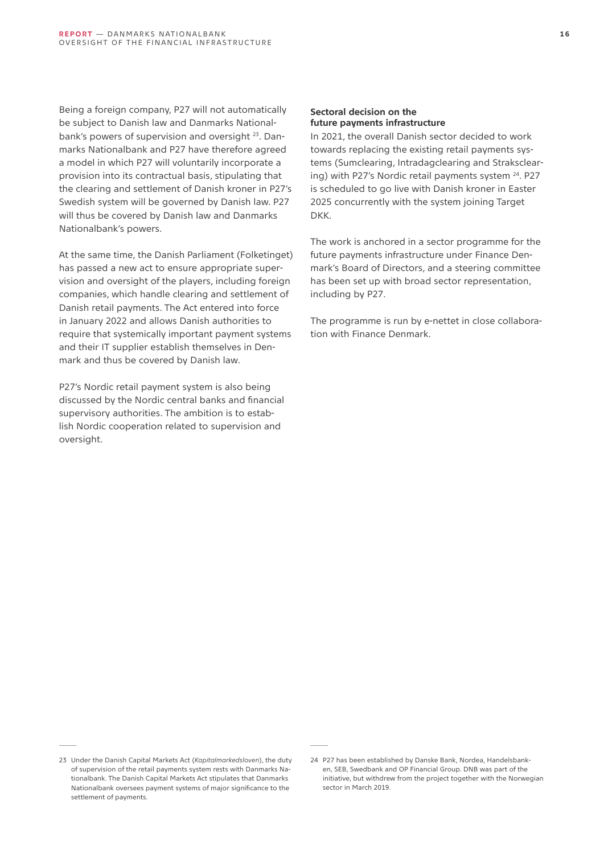Being a foreign company, P27 will not automatically be subject to Danish law and Danmarks Nationalbank's powers of supervision and oversight 23. Danmarks Nationalbank and P27 have therefore agreed a model in which P27 will voluntarily incorporate a provision into its contractual basis, stipulating that the clearing and settlement of Danish kroner in P27's Swedish system will be governed by Danish law. P27 will thus be covered by Danish law and Danmarks Nationalbank's powers.

At the same time, the Danish Parliament (Folketinget) has passed a new act to ensure appropriate supervision and oversight of the players, including foreign companies, which handle clearing and settlement of Danish retail payments. The Act entered into force in January 2022 and allows Danish authorities to require that systemically important payment systems and their IT supplier establish themselves in Denmark and thus be covered by Danish law.

P27's Nordic retail payment system is also being discussed by the Nordic central banks and financial supervisory authorities. The ambition is to establish Nordic cooperation related to supervision and oversight.

#### **Sectoral decision on the future payments infrastructure**

In 2021, the overall Danish sector decided to work towards replacing the existing retail payments systems (Sumclearing, Intradagclearing and Straksclearing) with P27's Nordic retail payments system 24. P27 is scheduled to go live with Danish kroner in Easter 2025 concurrently with the system joining Target DKK.

The work is anchored in a sector programme for the future payments infrastructure under Finance Denmark's Board of Directors, and a steering committee has been set up with broad sector representation, including by P27.

The programme is run by e-nettet in close collaboration with Finance Denmark.

<sup>23</sup> Under the Danish Capital Markets Act (*Kapitalmarkedsloven*), the duty of supervision of the retail payments system rests with Danmarks Nationalbank. The Danish Capital Markets Act stipulates that Danmarks Nationalbank oversees payment systems of major significance to the settlement of payments.

<sup>24</sup> P27 has been established by Danske Bank, Nordea, Handelsbanken, SEB, Swedbank and OP Financial Group. DNB was part of the initiative, but withdrew from the project together with the Norwegian sector in March 2019.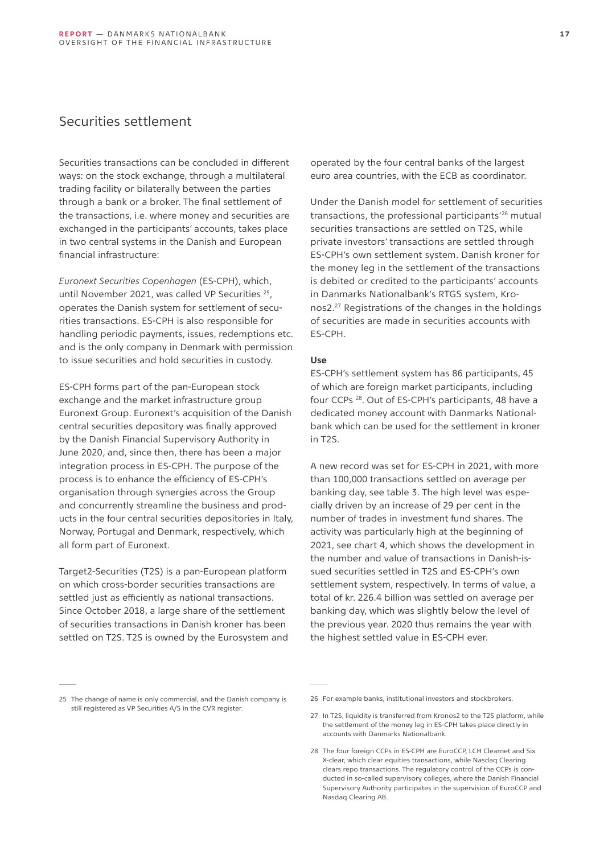## <span id="page-16-0"></span>Securities settlement

Securities transactions can be concluded in different ways: on the stock exchange, through a multilateral trading facility or bilaterally between the parties through a bank or a broker. The final settlement of the transactions, i.e. where money and securities are exchanged in the participants' accounts, takes place in two central systems in the Danish and European financial infrastructure:

*Euronext Securities Copenhagen* (ES-CPH), which, until November 2021, was called VP Securities <sup>25</sup>, operates the Danish system for settlement of securities transactions. ES-CPH is also responsible for handling periodic payments, issues, redemptions etc. and is the only company in Denmark with permission to issue securities and hold securities in custody.

ES-CPH forms part of the pan-European stock exchange and the market infrastructure group Euronext Group. Euronext's acquisition of the Danish central securities depository was finally approved by the Danish Financial Supervisory Authority in June 2020, and, since then, there has been a major integration process in ES-CPH. The purpose of the process is to enhance the efficiency of ES-CPH's organisation through synergies across the Group and concurrently streamline the business and products in the four central securities depositories in Italy, Norway, Portugal and Denmark, respectively, which all form part of Euronext.

Target2-Securities (T2S) is a pan-European platform on which cross-border securities transactions are settled just as efficiently as national transactions. Since October 2018, a large share of the settlement of securities transactions in Danish kroner has been settled on T2S. T2S is owned by the Eurosystem and

operated by the four central banks of the largest euro area countries, with the ECB as coordinator.

Under the Danish model for settlement of securities transactions, the professional participants'<sup>26</sup> mutual securities transactions are settled on T2S, while private investors' transactions are settled through ES-CPH's own settlement system. Danish kroner for the money leg in the settlement of the transactions is debited or credited to the participants' accounts in Danmarks Nationalbank's RTGS system, Kronos2.27 Registrations of the changes in the holdings of securities are made in securities accounts with ES-CPH.

#### **Use**

ES-CPH's settlement system has 86 participants, 45 of which are foreign market participants, including four CCPs 28. Out of ES-CPH's participants, 48 have a dedicated money account with Danmarks Nationalbank which can be used for the settlement in kroner in T2S.

A new record was set for ES-CPH in 2021, with more than 100,000 transactions settled on average per banking day, see table 3. The high level was especially driven by an increase of 29 per cent in the number of trades in investment fund shares. The activity was particularly high at the beginning of 2021, see chart 4, which shows the development in the number and value of transactions in Danish-issued securities settled in T2S and ES-CPH's own settlement system, respectively. In terms of value, a total of kr. 226.4 billion was settled on average per banking day, which was slightly below the level of the previous year. 2020 thus remains the year with the highest settled value in ES-CPH ever.

<sup>25</sup> The change of name is only commercial, and the Danish company is still registered as VP Securities A/S in the CVR register.

<sup>26</sup> For example banks, institutional investors and stockbrokers.

<sup>27</sup> In T2S, liquidity is transferred from Kronos2 to the T2S platform, while the settlement of the money leg in ES-CPH takes place directly in accounts with Danmarks Nationalbank.

<sup>28</sup> The four foreign CCPs in ES-CPH are EuroCCP, LCH Clearnet and Six X-clear, which clear equities transactions, while Nasdaq Clearing clears repo transactions. The regulatory control of the CCPs is conducted in so-called supervisory colleges, where the Danish Financial Supervisory Authority participates in the supervision of EuroCCP and Nasdaq Clearing AB.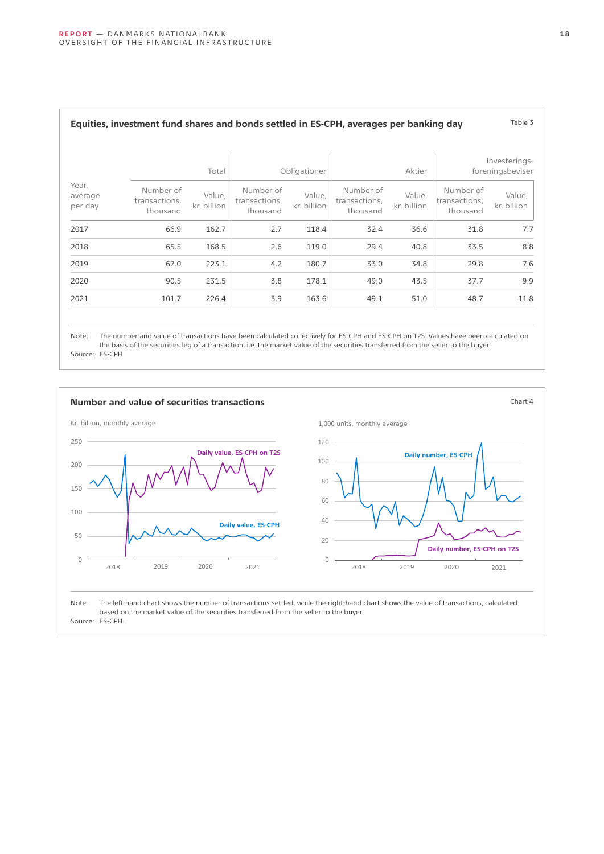| Investerings-<br>foreningsbeviser |                                        | Aktier                |                                        | Obligationer          |                                        | Total                 |                                        |                             |
|-----------------------------------|----------------------------------------|-----------------------|----------------------------------------|-----------------------|----------------------------------------|-----------------------|----------------------------------------|-----------------------------|
| Value,<br>kr. billion             | Number of<br>transactions,<br>thousand | Value,<br>kr. billion | Number of<br>transactions,<br>thousand | Value,<br>kr. billion | Number of<br>transactions,<br>thousand | Value,<br>kr. billion | Number of<br>transactions,<br>thousand | Year,<br>average<br>per day |
| 7.7                               | 31.8                                   | 36.6                  | 32.4                                   | 118.4                 | 2.7                                    | 162.7                 | 66.9                                   | 2017                        |
| 8.8                               | 33.5                                   | 40.8                  | 29.4                                   | 119.0                 | 2.6                                    | 168.5                 | 65.5                                   | 2018                        |
| 7.6                               | 29.8                                   | 34.8                  | 33.0                                   | 180.7                 | 4.2                                    | 223.1                 | 67.0                                   | 2019                        |
| 9.9                               | 37.7                                   | 43.5                  | 49.0                                   | 178.1                 | 3.8                                    | 231.5                 | 90.5                                   | 2020                        |
| 11.8                              | 48.7                                   | 51.0                  | 49.1                                   | 163.6                 | 3.9                                    | 226.4                 | 101.7                                  | 2021                        |

## Note: The number and value of transactions have been calculated collectively for ES-CPH and ES-CPH on T2S. Values have been calculated on the basis of the securities leg of a transaction, i.e. the market value of the securities transferred from the seller to the buyer.

Source: ES-CPH

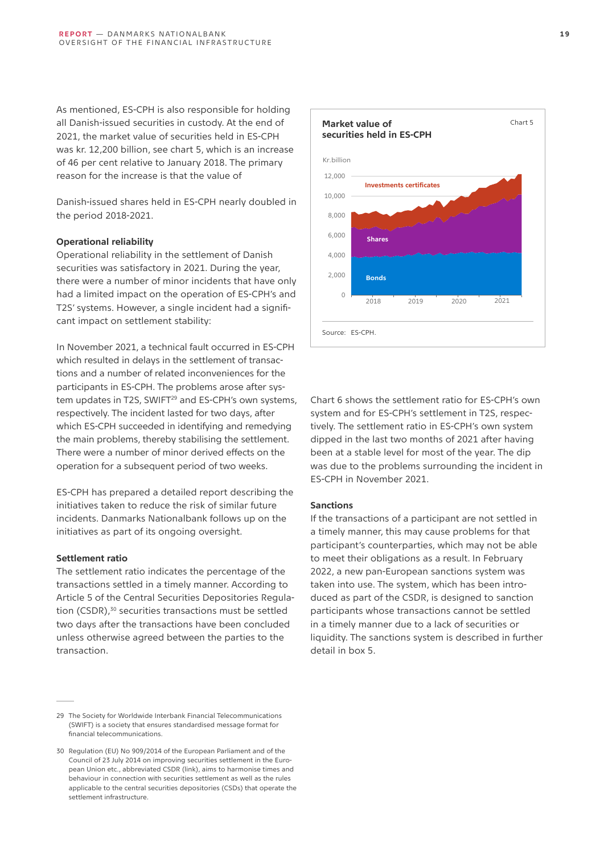As mentioned, ES-CPH is also responsible for holding all Danish-issued securities in custody. At the end of 2021, the market value of securities held in ES-CPH was kr. 12,200 billion, see chart 5, which is an increase of 46 per cent relative to January 2018. The primary reason for the increase is that the value of

Danish-issued shares held in ES-CPH nearly doubled in the period 2018-2021.

#### **Operational reliability**

Operational reliability in the settlement of Danish securities was satisfactory in 2021. During the year, there were a number of minor incidents that have only had a limited impact on the operation of ES-CPH's and T2S' systems. However, a single incident had a significant impact on settlement stability:

In November 2021, a technical fault occurred in ES-CPH which resulted in delays in the settlement of transactions and a number of related inconveniences for the participants in ES-CPH. The problems arose after system updates in T2S, SWIFT<sup>29</sup> and ES-CPH's own systems, respectively. The incident lasted for two days, after which ES-CPH succeeded in identifying and remedying the main problems, thereby stabilising the settlement. There were a number of minor derived effects on the operation for a subsequent period of two weeks.

ES-CPH has prepared a detailed report describing the initiatives taken to reduce the risk of similar future incidents. Danmarks Nationalbank follows up on the initiatives as part of its ongoing oversight.

#### **Settlement ratio**

The settlement ratio indicates the percentage of the transactions settled in a timely manner. According to Article 5 of the Central Securities Depositories Regulation (CSDR),<sup>30</sup> securities transactions must be settled two days after the transactions have been concluded unless otherwise agreed between the parties to the transaction.



Chart 6 shows the settlement ratio for ES-CPH's own system and for ES-CPH's settlement in T2S, respectively. The settlement ratio in ES-CPH's own system dipped in the last two months of 2021 after having been at a stable level for most of the year. The dip was due to the problems surrounding the incident in ES-CPH in November 2021.

#### **Sanctions**

If the transactions of a participant are not settled in a timely manner, this may cause problems for that participant's counterparties, which may not be able to meet their obligations as a result. In February 2022, a new pan-European sanctions system was taken into use. The system, which has been introduced as part of the CSDR, is designed to sanction participants whose transactions cannot be settled in a timely manner due to a lack of securities or liquidity. The sanctions system is described in further detail in box 5.

<sup>29</sup> The Society for Worldwide Interbank Financial Telecommunications (SWIFT) is a society that ensures standardised message format for financial telecommunications.

<sup>30</sup> Regulation (EU) No 909/2014 of the European Parliament and of the Council of 23 July 2014 on improving securities settlement in the European Union etc., abbreviated CSDR (link), aims to harmonise times and behaviour in connection with securities settlement as well as the rules applicable to the central securities depositories (CSDs) that operate the settlement infrastructure.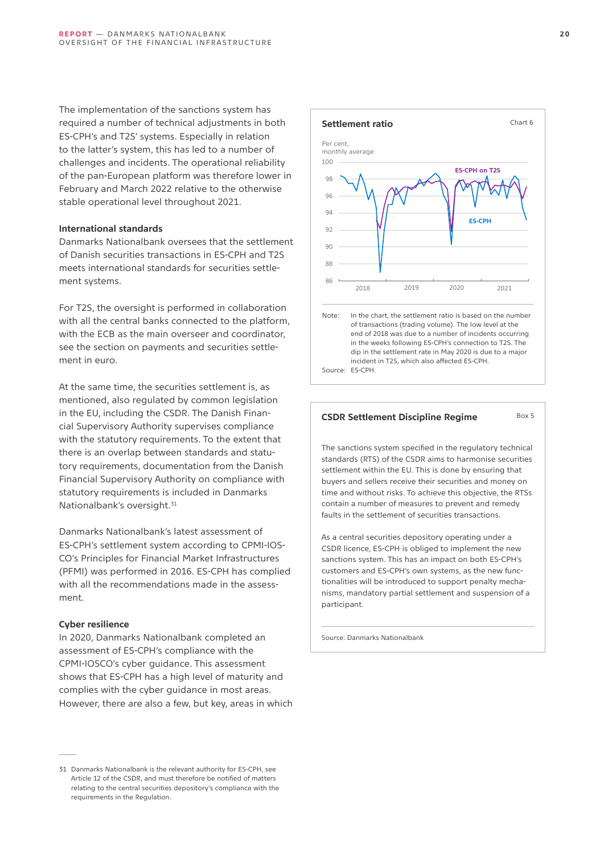The implementation of the sanctions system has required a number of technical adjustments in both ES-CPH's and T2S' systems. Especially in relation to the latter's system, this has led to a number of challenges and incidents. The operational reliability of the pan-European platform was therefore lower in February and March 2022 relative to the otherwise stable operational level throughout 2021.

#### **International standards**

Danmarks Nationalbank oversees that the settlement of Danish securities transactions in ES-CPH and T2S meets international standards for securities settlement systems.

For T2S, the oversight is performed in collaboration with all the central banks connected to the platform, with the ECB as the main overseer and coordinator, see the section on payments and securities settlement in euro.

At the same time, the securities settlement is, as mentioned, also regulated by common legislation in the EU, including the CSDR. The Danish Financial Supervisory Authority supervises compliance with the statutory requirements. To the extent that there is an overlap between standards and statutory requirements, documentation from the Danish Financial Supervisory Authority on compliance with statutory requirements is included in Danmarks Nationalbank's oversight.<sup>31</sup>

Danmarks Nationalbank's latest assessment of ES-CPH's settlement system according to CPMI-IOS-CO's Principles for Financial Market Infrastructures (PFMI) was performed in 2016. ES-CPH has complied with all the recommendations made in the assessment.

#### **Cyber resilience**

In 2020, Danmarks Nationalbank completed an assessment of ES-CPH's compliance with the CPMI-IOSCO's cyber guidance. This assessment shows that ES-CPH has a high level of maturity and complies with the cyber guidance in most areas. However, there are also a few, but key, areas in which





#### **CSDR Settlement Discipline Regime** Box 5

The sanctions system specified in the regulatory technical standards (RTS) of the CSDR aims to harmonise securities settlement within the EU. This is done by ensuring that buyers and sellers receive their securities and money on time and without risks. To achieve this objective, the RTSs contain a number of measures to prevent and remedy faults in the settlement of securities transactions.

As a central securities depository operating under a CSDR licence, ES-CPH is obliged to implement the new sanctions system. This has an impact on both ES-CPH's customers and ES-CPH's own systems, as the new functionalities will be introduced to support penalty mechanisms, mandatory partial settlement and suspension of a participant.

Source: Danmarks Nationalbank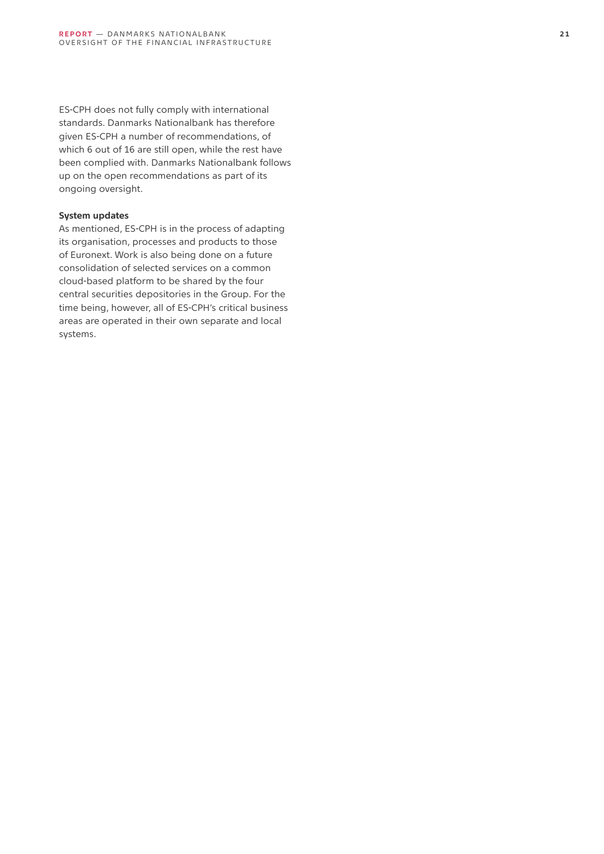ES-CPH does not fully comply with international standards. Danmarks Nationalbank has therefore given ES-CPH a number of recommendations, of which 6 out of 16 are still open, while the rest have been complied with. Danmarks Nationalbank follows up on the open recommendations as part of its ongoing oversight.

#### **System updates**

As mentioned, ES-CPH is in the process of adapting its organisation, processes and products to those of Euronext. Work is also being done on a future consolidation of selected services on a common cloud-based platform to be shared by the four central securities depositories in the Group. For the time being, however, all of ES-CPH's critical business areas are operated in their own separate and local systems.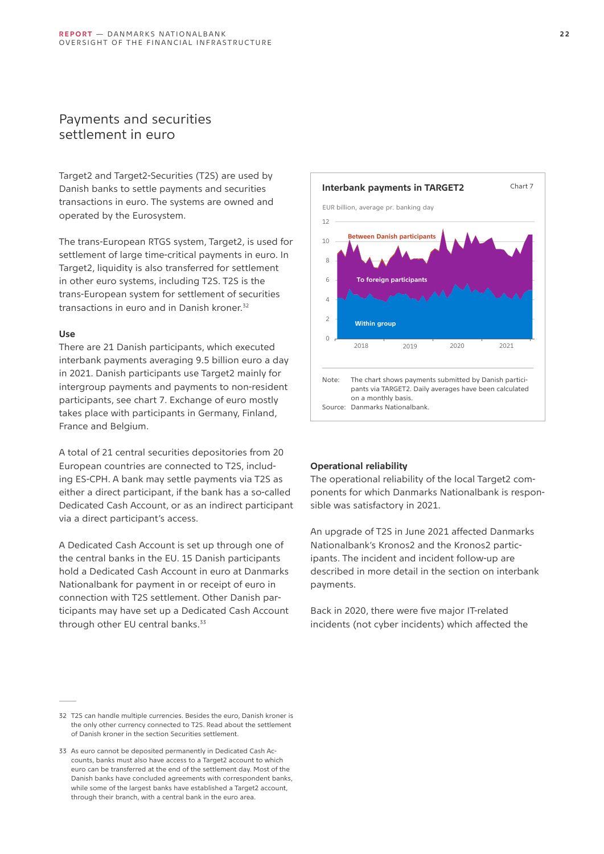## <span id="page-21-0"></span>Payments and securities settlement in euro

Target2 and Target2-Securities (T2S) are used by Danish banks to settle payments and securities transactions in euro. The systems are owned and operated by the Eurosystem.

The trans-European RTGS system, Target2, is used for settlement of large time-critical payments in euro. In Target2, liquidity is also transferred for settlement in other euro systems, including T2S. T2S is the trans-European system for settlement of securities transactions in euro and in Danish kroner.<sup>32</sup>

#### **Use**

There are 21 Danish participants, which executed interbank payments averaging 9.5 billion euro a day in 2021. Danish participants use Target2 mainly for intergroup payments and payments to non-resident participants, see chart 7. Exchange of euro mostly takes place with participants in Germany, Finland, France and Belgium.

A total of 21 central securities depositories from 20 European countries are connected to T2S, including ES-CPH. A bank may settle payments via T2S as either a direct participant, if the bank has a so-called Dedicated Cash Account, or as an indirect participant via a direct participant's access.

A Dedicated Cash Account is set up through one of the central banks in the EU. 15 Danish participants hold a Dedicated Cash Account in euro at Danmarks Nationalbank for payment in or receipt of euro in connection with T2S settlement. Other Danish participants may have set up a Dedicated Cash Account through other EU central banks.<sup>33</sup>



<sup>33</sup> As euro cannot be deposited permanently in Dedicated Cash Accounts, banks must also have access to a Target2 account to which euro can be transferred at the end of the settlement day. Most of the Danish banks have concluded agreements with correspondent banks, while some of the largest banks have established a Target2 account, through their branch, with a central bank in the euro area.



#### **Operational reliability**

The operational reliability of the local Target2 components for which Danmarks Nationalbank is responsible was satisfactory in 2021.

An upgrade of T2S in June 2021 affected Danmarks Nationalbank's Kronos2 and the Kronos2 participants. The incident and incident follow-up are described in more detail in the section on interbank payments.

Back in 2020, there were five major IT-related incidents (not cyber incidents) which affected the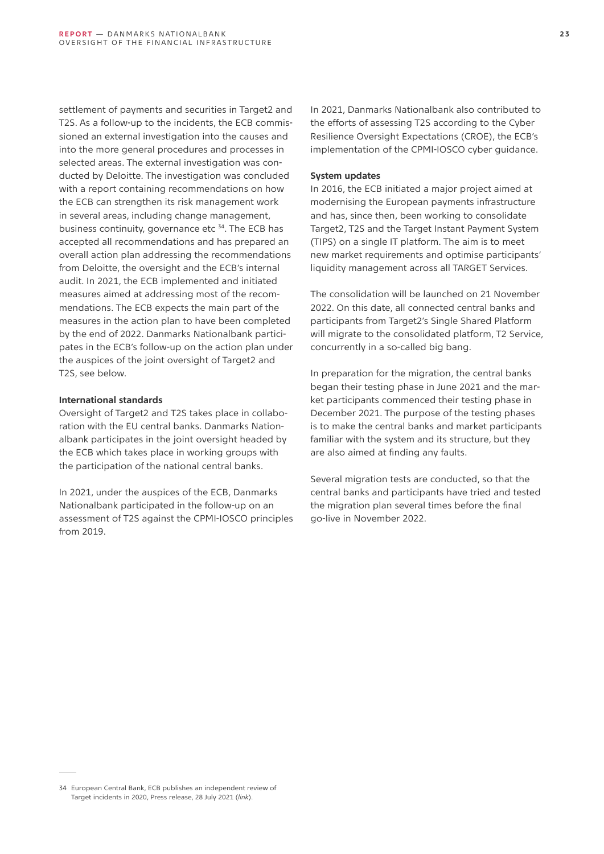settlement of payments and securities in Target2 and T2S. As a follow-up to the incidents, the ECB commissioned an external investigation into the causes and into the more general procedures and processes in selected areas. The external investigation was conducted by Deloitte. The investigation was concluded with a report containing recommendations on how the ECB can strengthen its risk management work in several areas, including change management, business continuity, governance etc<sup>34</sup>. The ECB has accepted all recommendations and has prepared an overall action plan addressing the recommendations from Deloitte, the oversight and the ECB's internal audit. In 2021, the ECB implemented and initiated measures aimed at addressing most of the recommendations. The ECB expects the main part of the measures in the action plan to have been completed by the end of 2022. Danmarks Nationalbank participates in the ECB's follow-up on the action plan under the auspices of the joint oversight of Target2 and T2S, see below.

#### **International standards**

Oversight of Target2 and T2S takes place in collaboration with the EU central banks. Danmarks Nationalbank participates in the joint oversight headed by the ECB which takes place in working groups with the participation of the national central banks.

In 2021, under the auspices of the ECB, Danmarks Nationalbank participated in the follow-up on an assessment of T2S against the CPMI-IOSCO principles from 2019.

In 2021, Danmarks Nationalbank also contributed to the efforts of assessing T2S according to the Cyber Resilience Oversight Expectations (CROE), the ECB's implementation of the CPMI-IOSCO cyber guidance.

#### **System updates**

In 2016, the ECB initiated a major project aimed at modernising the European payments infrastructure and has, since then, been working to consolidate Target2, T2S and the Target Instant Payment System (TIPS) on a single IT platform. The aim is to meet new market requirements and optimise participants' liquidity management across all TARGET Services.

The consolidation will be launched on 21 November 2022. On this date, all connected central banks and participants from Target2's Single Shared Platform will migrate to the consolidated platform, T2 Service, concurrently in a so-called big bang.

In preparation for the migration, the central banks began their testing phase in June 2021 and the market participants commenced their testing phase in December 2021. The purpose of the testing phases is to make the central banks and market participants familiar with the system and its structure, but they are also aimed at finding any faults.

Several migration tests are conducted, so that the central banks and participants have tried and tested the migration plan several times before the final go-live in November 2022.

<sup>34</sup> European Central Bank, ECB publishes an independent review of Target incidents in 2020, Press release, 28 July 2021 (*[link](https://www.ecb.europa.eu/press/pr/date/2021/html/ecb.pr210728~cb0848ee42.en.html)*).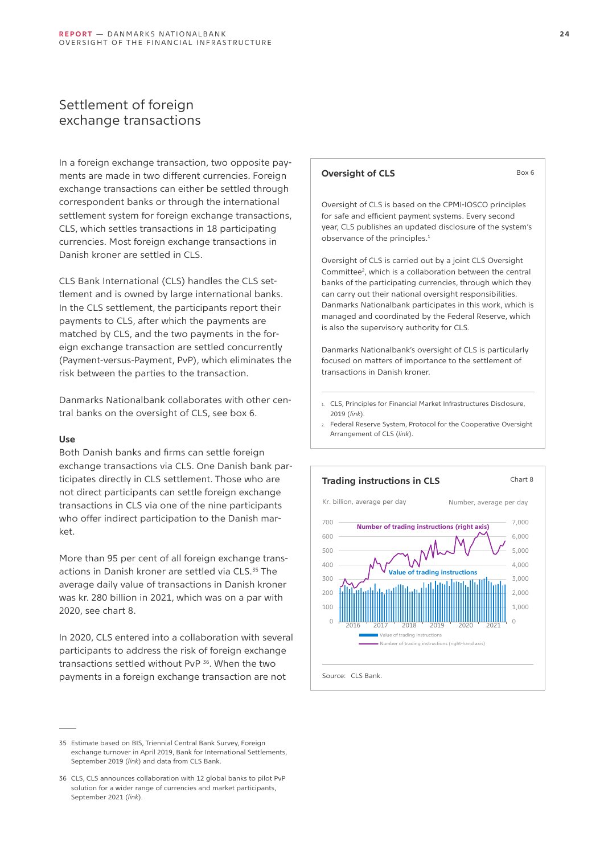## <span id="page-23-0"></span>Settlement of foreign exchange transactions

In a foreign exchange transaction, two opposite payments are made in two different currencies. Foreign exchange transactions can either be settled through correspondent banks or through the international settlement system for foreign exchange transactions, CLS, which settles transactions in 18 participating currencies. Most foreign exchange transactions in Danish kroner are settled in CLS.

CLS Bank International (CLS) handles the CLS settlement and is owned by large international banks. In the CLS settlement, the participants report their payments to CLS, after which the payments are matched by CLS, and the two payments in the foreign exchange transaction are settled concurrently (Payment-versus-Payment, PvP), which eliminates the risk between the parties to the transaction.

Danmarks Nationalbank collaborates with other central banks on the oversight of CLS, see box 6.

#### **Use**

Both Danish banks and firms can settle foreign exchange transactions via CLS. One Danish bank participates directly in CLS settlement. Those who are not direct participants can settle foreign exchange transactions in CLS via one of the nine participants who offer indirect participation to the Danish market.

More than 95 per cent of all foreign exchange transactions in Danish kroner are settled via CLS.<sup>35</sup> The average daily value of transactions in Danish kroner was kr. 280 billion in 2021, which was on a par with 2020, see chart 8.

In 2020, CLS entered into a collaboration with several participants to address the risk of foreign exchange transactions settled without PvP 36. When the two payments in a foreign exchange transaction are not

## Oversight of CLS is based on the CPMI-IOSCO principles for safe and efficient payment systems. Every second year, CLS publishes an updated disclosure of the system's observance of the principles.<sup>1</sup> Oversight of CLS is carried out by a joint CLS Oversight Committee<sup>2</sup>, which is a collaboration between the central banks of the participating currencies, through which they can carry out their national oversight responsibilities. Danmarks Nationalbank participates in this work, which is managed and coordinated by the Federal Reserve, which is also the supervisory authority for CLS.

**Oversight of CLS** Box 6

Danmarks Nationalbank's oversight of CLS is particularly focused on matters of importance to the settlement of transactions in Danish kroner.

- 1. CLS, Principles for Financial Market Infrastructures Disclosure, 2019 (*[link](https://www.cls-group.com/about-us/regulation/regulatory-affairs/pfmi/)*).
- 2. Federal Reserve System, Protocol for the Cooperative Oversight Arrangement of CLS (*[link](https://www.federalreserve.gov/paymentsystems/cls_protocol.htm)*).



<sup>35</sup> Estimate based on BIS, Triennial Central Bank Survey, Foreign exchange turnover in April 2019, Bank for International Settlements, September 2019 (*[link](https://www.bis.org/statistics/rpfx19_fx.pdf)*) and data from CLS Bank.

<sup>36</sup> CLS, CLS announces collaboration with 12 global banks to pilot PvP solution for a wider range of currencies and market participants, September 2021 (*[link](https://www.cls-group.com/news/cls-announces-collaboration-with-12-global-banks-to-pilot-pvp-solution-for-a-wider-range-of-currencies-and-market-participants/)*).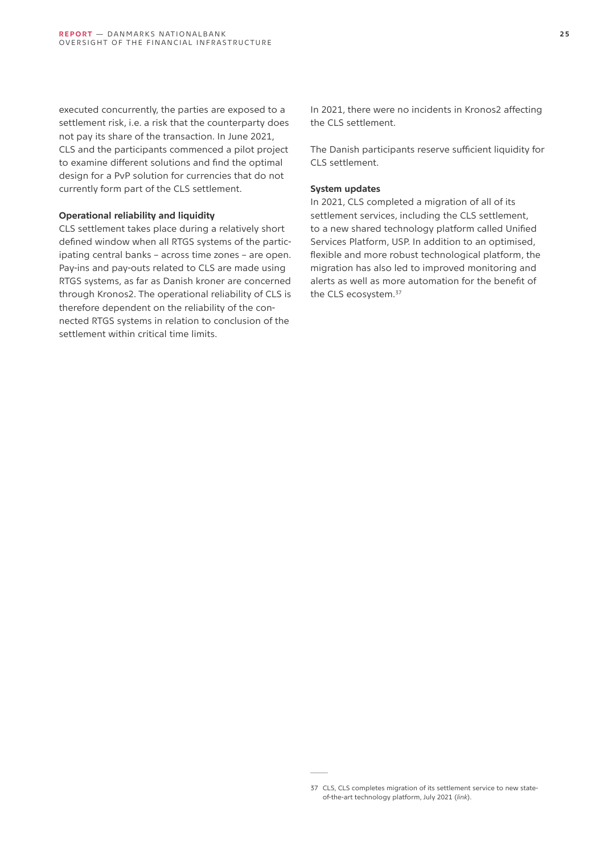executed concurrently, the parties are exposed to a settlement risk, i.e. a risk that the counterparty does not pay its share of the transaction. In June 2021, CLS and the participants commenced a pilot project to examine different solutions and find the optimal design for a PvP solution for currencies that do not currently form part of the CLS settlement.

#### **Operational reliability and liquidity**

CLS settlement takes place during a relatively short defined window when all RTGS systems of the participating central banks – across time zones – are open. Pay-ins and pay-outs related to CLS are made using RTGS systems, as far as Danish kroner are concerned through Kronos2. The operational reliability of CLS is therefore dependent on the reliability of the connected RTGS systems in relation to conclusion of the settlement within critical time limits.

In 2021, there were no incidents in Kronos2 affecting the CLS settlement.

The Danish participants reserve sufficient liquidity for CLS settlement.

#### **System updates**

In 2021, CLS completed a migration of all of its settlement services, including the CLS settlement, to a new shared technology platform called Unified Services Platform, USP. In addition to an optimised, flexible and more robust technological platform, the migration has also led to improved monitoring and alerts as well as more automation for the benefit of the CLS ecosystem.37

<sup>37</sup> CLS, CLS completes migration of its settlement service to new stateof-the-art technology platform, July 2021 (*[link](https://www.cls-group.com/news/cls-completes-migration-of-its-settlement-service-to-new-state-of-the-art-technology-platform/)*).